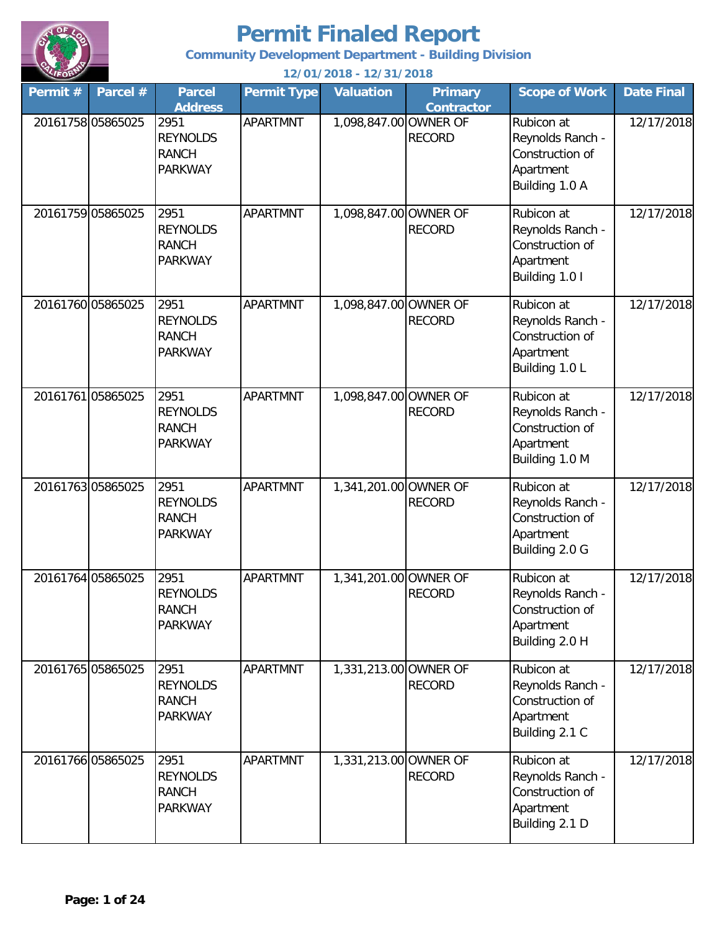

**Community Development Department - Building Division**

**Permit # Parcel # Permit Type Valuation Primary Contractor Scope of Work Date Final** 20161758 05865025 2951 | APARTMNT | 1,098,847.00 OWNER OF RECORD Rubicon at Reynolds Ranch - Construction of Apartment Building 1.0 A 12/17/2018 20161759 05865025 2951 | APARTMNT | 1,098,847.00 OWNER OF RECORD Rubicon at Reynolds Ranch - Construction of Apartment Building 1.0 I 12/17/2018 20161760 05865025 2951 | APARTMNT | 1,098,847.00 OWNER OF RECORD Rubicon at Reynolds Ranch - Construction of Apartment Building 1.0 L 12/17/2018 20161761 05865025 2951 APARTMNT 1 098.847.00 OWNER OF RECORD Rubicon at Reynolds Ranch - Construction of Apartment Building 1.0 M 12/17/2018 20161763 05865025 2951 | APARTMNT | 1,341,201.00 OWNER OF RECORD Rubicon at Reynolds Ranch - Construction of Apartment Building 2.0 G 12/17/2018 20161764 05865025 2951 APARTMNT 1,341,201.00 OWNER OF RECORD Rubicon at Reynolds Ranch - Construction of Apartment Building 2.0 H 12/17/2018 20161765 05865025 2951 | APARTMNT | 1,331,213.00 OWNER OF RECORD Rubicon at Reynolds Ranch - Construction of Apartment Building 2.1 C 12/17/2018 20161766 05865025 2951 | APARTMNT | 1,331,213.00 OWNER OF RECORD Rubicon at Reynolds Ranch - Construction of 12/17/2018 2951 REYNOLDS RANCH PARKWAY 2951 REYNOLDS RANCH 2951 REYNOLDS RANCH PARKWAY 2951 REYNOLDS RANCH PARKWAY 2951 REYNOLDS RANCH PARKWAY 2951 REYNOLDS RANCH PARKWAY 2951 REYNOLDS RANCH PARKWAY **12/01/2018 - 12/31/2018 Parcel Address** 2951 REYNOLDS RANCH PARKWAY

> Apartment Building 2.1 D

PARKWAY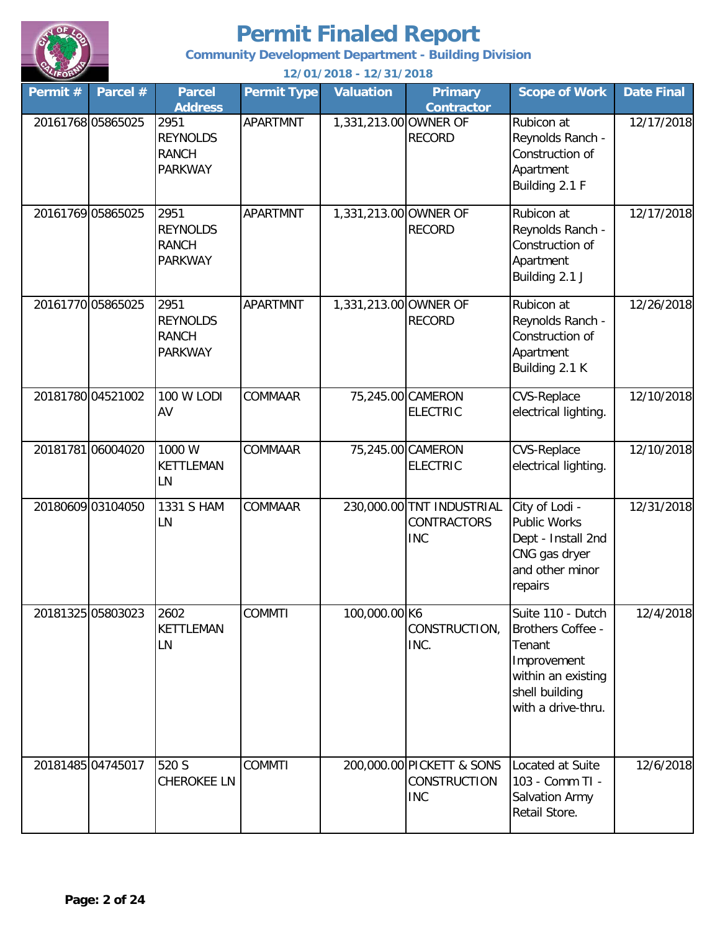

**Community Development Department - Building Division**

| Permit # | Parcel #          | <b>Parcel</b><br><b>Address</b>                           | <b>Permit Type</b> | <b>Valuation</b>      | <b>Primary</b><br><b>Contractor</b>                            | <b>Scope of Work</b>                                                                                                                 | <b>Date Final</b> |
|----------|-------------------|-----------------------------------------------------------|--------------------|-----------------------|----------------------------------------------------------------|--------------------------------------------------------------------------------------------------------------------------------------|-------------------|
|          | 20161768 05865025 | 2951<br><b>REYNOLDS</b><br><b>RANCH</b><br><b>PARKWAY</b> | <b>APARTMNT</b>    | 1,331,213.00 OWNER OF | <b>RECORD</b>                                                  | Rubicon at<br>Reynolds Ranch -<br>Construction of<br>Apartment<br>Building 2.1 F                                                     | 12/17/2018        |
|          | 20161769 05865025 | 2951<br><b>REYNOLDS</b><br><b>RANCH</b><br><b>PARKWAY</b> | <b>APARTMNT</b>    | 1,331,213.00 OWNER OF | <b>RECORD</b>                                                  | Rubicon at<br>Reynolds Ranch -<br>Construction of<br>Apartment<br>Building 2.1 J                                                     | 12/17/2018        |
|          | 20161770 05865025 | 2951<br><b>REYNOLDS</b><br><b>RANCH</b><br><b>PARKWAY</b> | <b>APARTMNT</b>    | 1,331,213.00 OWNER OF | <b>RECORD</b>                                                  | Rubicon at<br>Reynolds Ranch -<br>Construction of<br>Apartment<br>Building 2.1 K                                                     | 12/26/2018        |
|          | 20181780 04521002 | 100 W LODI<br>AV                                          | COMMAAR            |                       | 75,245.00 CAMERON<br><b>ELECTRIC</b>                           | <b>CVS-Replace</b><br>electrical lighting.                                                                                           | 12/10/2018        |
|          | 2018178106004020  | 1000 W<br><b>KETTLEMAN</b><br>LN                          | COMMAAR            |                       | 75,245.00 CAMERON<br><b>ELECTRIC</b>                           | <b>CVS-Replace</b><br>electrical lighting.                                                                                           | 12/10/2018        |
|          | 20180609 03104050 | 1331 S HAM<br>LN                                          | <b>COMMAAR</b>     |                       | 230,000.00 TNT INDUSTRIAL<br><b>CONTRACTORS</b><br><b>INC</b>  | City of Lodi -<br><b>Public Works</b><br>Dept - Install 2nd<br>CNG gas dryer<br>and other minor<br>repairs                           | 12/31/2018        |
|          | 20181325 05803023 | 2602<br>KETTLEMAN<br>LN                                   | <b>COMMTI</b>      | 100,000.00 K6         | CONSTRUCTION,<br>INC.                                          | Suite 110 - Dutch<br><b>Brothers Coffee -</b><br>Tenant<br>Improvement<br>within an existing<br>shell building<br>with a drive-thru. | 12/4/2018         |
|          | 20181485 04745017 | 520 S<br><b>CHEROKEE LN</b>                               | <b>COMMTI</b>      |                       | 200,000.00 PICKETT & SONS<br><b>CONSTRUCTION</b><br><b>INC</b> | Located at Suite<br>103 - Comm TI -<br><b>Salvation Army</b><br>Retail Store.                                                        | 12/6/2018         |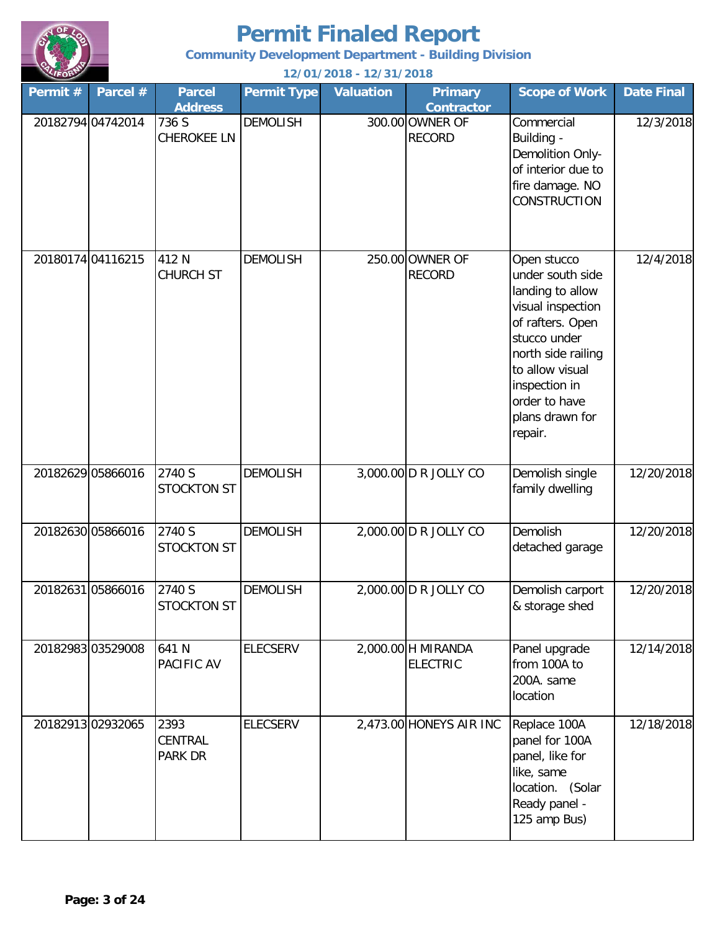

**Community Development Department - Building Division**

| Permit #          | Parcel #          | <b>Parcel</b><br><b>Address</b> | <b>Permit Type</b> | <b>Valuation</b> | <b>Primary</b><br><b>Contractor</b>   | <b>Scope of Work</b>                                                                                                                                                                                                  | <b>Date Final</b> |
|-------------------|-------------------|---------------------------------|--------------------|------------------|---------------------------------------|-----------------------------------------------------------------------------------------------------------------------------------------------------------------------------------------------------------------------|-------------------|
| 20182794 04742014 |                   | 736 S<br><b>CHEROKEE LN</b>     | <b>DEMOLISH</b>    |                  | 300.00 OWNER OF<br><b>RECORD</b>      | Commercial<br>Building -<br>Demolition Only-<br>of interior due to<br>fire damage. NO<br><b>CONSTRUCTION</b>                                                                                                          | 12/3/2018         |
| 20180174 04116215 |                   | 412 N<br><b>CHURCH ST</b>       | <b>DEMOLISH</b>    |                  | 250.00 OWNER OF<br><b>RECORD</b>      | Open stucco<br>under south side<br>landing to allow<br>visual inspection<br>of rafters. Open<br>stucco under<br>north side railing<br>to allow visual<br>inspection in<br>order to have<br>plans drawn for<br>repair. | 12/4/2018         |
| 20182629 05866016 |                   | 2740 S<br><b>STOCKTON ST</b>    | <b>DEMOLISH</b>    |                  | 3,000.00 D R JOLLY CO                 | Demolish single<br>family dwelling                                                                                                                                                                                    | 12/20/2018        |
| 20182630 05866016 |                   | 2740 S<br><b>STOCKTON ST</b>    | <b>DEMOLISH</b>    |                  | 2,000.00 D R JOLLY CO                 | Demolish<br>detached garage                                                                                                                                                                                           | 12/20/2018        |
| 20182631 05866016 |                   | 2740 S<br><b>STOCKTON ST</b>    | <b>DEMOLISH</b>    |                  | 2,000.00 D R JOLLY CO                 | Demolish carport<br>& storage shed                                                                                                                                                                                    | 12/20/2018        |
|                   | 20182983 03529008 | 641 N<br>PACIFIC AV             | <b>ELECSERV</b>    |                  | 2,000.00 H MIRANDA<br><b>ELECTRIC</b> | Panel upgrade<br>from 100A to<br>200A. same<br>location                                                                                                                                                               | 12/14/2018        |
|                   | 20182913 02932065 | 2393<br>CENTRAL<br>PARK DR      | <b>ELECSERV</b>    |                  | 2,473.00 HONEYS AIR INC               | Replace 100A<br>panel for 100A<br>panel, like for<br>like, same<br>location. (Solar<br>Ready panel -<br>125 amp Bus)                                                                                                  | 12/18/2018        |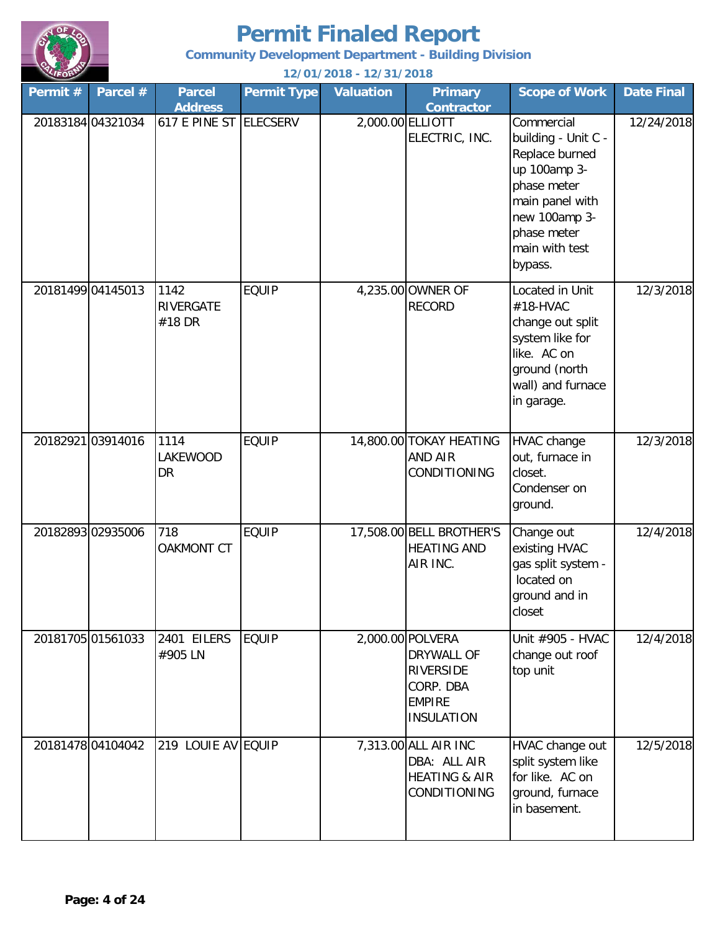

**Community Development Department - Building Division**

| Permit#           | Parcel # | <b>Parcel</b><br><b>Address</b>    | <b>Permit Type</b> | <b>Valuation</b> | <b>Primary</b><br><b>Contractor</b>                                                                   | <b>Scope of Work</b>                                                                                                                                               | <b>Date Final</b> |
|-------------------|----------|------------------------------------|--------------------|------------------|-------------------------------------------------------------------------------------------------------|--------------------------------------------------------------------------------------------------------------------------------------------------------------------|-------------------|
| 20183184 04321034 |          | 617 E PINE ST ELECSERV             |                    |                  | 2,000.00 ELLIOTT<br>ELECTRIC, INC.                                                                    | Commercial<br>building - Unit C -<br>Replace burned<br>up 100amp 3-<br>phase meter<br>main panel with<br>new 100amp 3-<br>phase meter<br>main with test<br>bypass. | 12/24/2018        |
| 20181499 04145013 |          | 1142<br><b>RIVERGATE</b><br>#18 DR | <b>EQUIP</b>       |                  | 4,235.00 OWNER OF<br><b>RECORD</b>                                                                    | Located in Unit<br>#18-HVAC<br>change out split<br>system like for<br>like. AC on<br>ground (north<br>wall) and furnace<br>in garage.                              | 12/3/2018         |
| 20182921 03914016 |          | 1114<br>LAKEWOOD<br>DR             | <b>EQUIP</b>       |                  | 14,800.00 TOKAY HEATING<br><b>AND AIR</b><br>CONDITIONING                                             | <b>HVAC change</b><br>out, furnace in<br>closet.<br>Condenser on<br>ground.                                                                                        | 12/3/2018         |
| 20182893 02935006 |          | 718<br><b>OAKMONT CT</b>           | <b>EQUIP</b>       |                  | 17,508.00 BELL BROTHER'S<br><b>HEATING AND</b><br>AIR INC.                                            | Change out<br>existing HVAC<br>gas split system -<br>located on<br>ground and in<br>closet                                                                         | 12/4/2018         |
| 20181705 01561033 |          | 2401 EILERS<br>#905 LN             | <b>EQUIP</b>       |                  | 2,000.00 POLVERA<br>DRYWALL OF<br><b>RIVERSIDE</b><br>CORP. DBA<br><b>EMPIRE</b><br><b>INSULATION</b> | Unit #905 - HVAC<br>change out roof<br>top unit                                                                                                                    | 12/4/2018         |
| 20181478 04104042 |          | 219 LOUIE AV EQUIP                 |                    |                  | 7,313.00 ALL AIR INC<br>DBA: ALL AIR<br><b>HEATING &amp; AIR</b><br>CONDITIONING                      | HVAC change out<br>split system like<br>for like. AC on<br>ground, furnace<br>in basement.                                                                         | 12/5/2018         |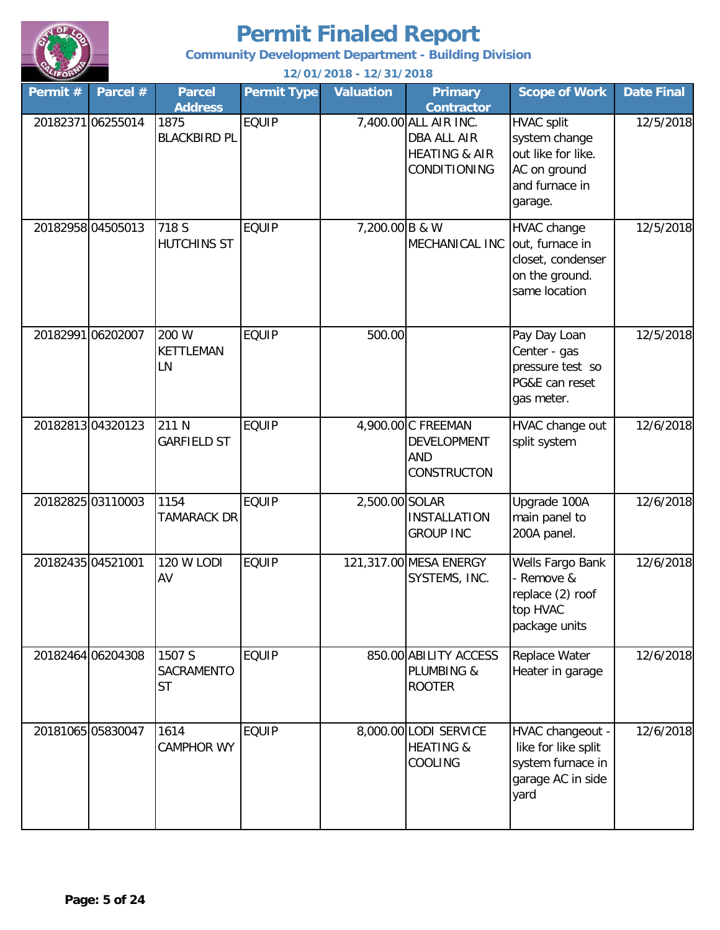

**Community Development Department - Building Division**

| Permit #          | Parcel #          | <b>Parcel</b><br><b>Address</b>   | <b>Permit Type</b> | <b>Valuation</b> | <b>Primary</b><br><b>Contractor</b>                                                     | <b>Scope of Work</b>                                                                                  | <b>Date Final</b> |
|-------------------|-------------------|-----------------------------------|--------------------|------------------|-----------------------------------------------------------------------------------------|-------------------------------------------------------------------------------------------------------|-------------------|
|                   | 20182371 06255014 | 1875<br><b>BLACKBIRD PL</b>       | <b>EQUIP</b>       |                  | 7,400.00 ALL AIR INC.<br>DBA ALL AIR<br><b>HEATING &amp; AIR</b><br><b>CONDITIONING</b> | <b>HVAC split</b><br>system change<br>out like for like.<br>AC on ground<br>and furnace in<br>garage. | 12/5/2018         |
|                   | 20182958 04505013 | 718 S<br><b>HUTCHINS ST</b>       | <b>EQUIP</b>       | 7,200.00 B & W   | MECHANICAL INC                                                                          | HVAC change<br>out, furnace in<br>closet, condenser<br>on the ground.<br>same location                | 12/5/2018         |
|                   | 20182991 06202007 | 200 W<br><b>KETTLEMAN</b><br>LN   | <b>EQUIP</b>       | 500.00           |                                                                                         | Pay Day Loan<br>Center - gas<br>pressure test so<br>PG&E can reset<br>gas meter.                      | 12/5/2018         |
|                   | 2018281304320123  | 211 N<br><b>GARFIELD ST</b>       | <b>EQUIP</b>       |                  | 4,900.00 C FREEMAN<br>DEVELOPMENT<br><b>AND</b><br>CONSTRUCTON                          | HVAC change out<br>split system                                                                       | 12/6/2018         |
|                   | 20182825 03110003 | 1154<br><b>TAMARACK DR</b>        | <b>EQUIP</b>       | 2,500.00 SOLAR   | <b>INSTALLATION</b><br><b>GROUP INC</b>                                                 | Upgrade 100A<br>main panel to<br>200A panel.                                                          | 12/6/2018         |
| 20182435 04521001 |                   | <b>120 W LODI</b><br>AV           | <b>EQUIP</b>       |                  | 121,317.00 MESA ENERGY<br>SYSTEMS, INC.                                                 | Wells Fargo Bank<br>- Remove &<br>replace (2) roof<br>top HVAC<br>package units                       | 12/6/2018         |
|                   | 20182464 06204308 | 1507 S<br>SACRAMENTO<br><b>ST</b> | <b>EQUIP</b>       |                  | 850.00 ABILITY ACCESS<br><b>PLUMBING &amp;</b><br><b>ROOTER</b>                         | Replace Water<br>Heater in garage                                                                     | 12/6/2018         |
|                   | 20181065 05830047 | 1614<br><b>CAMPHOR WY</b>         | <b>EQUIP</b>       |                  | 8,000.00 LODI SERVICE<br><b>HEATING &amp;</b><br>COOLING                                | HVAC changeout -<br>like for like split<br>system furnace in<br>garage AC in side<br>yard             | 12/6/2018         |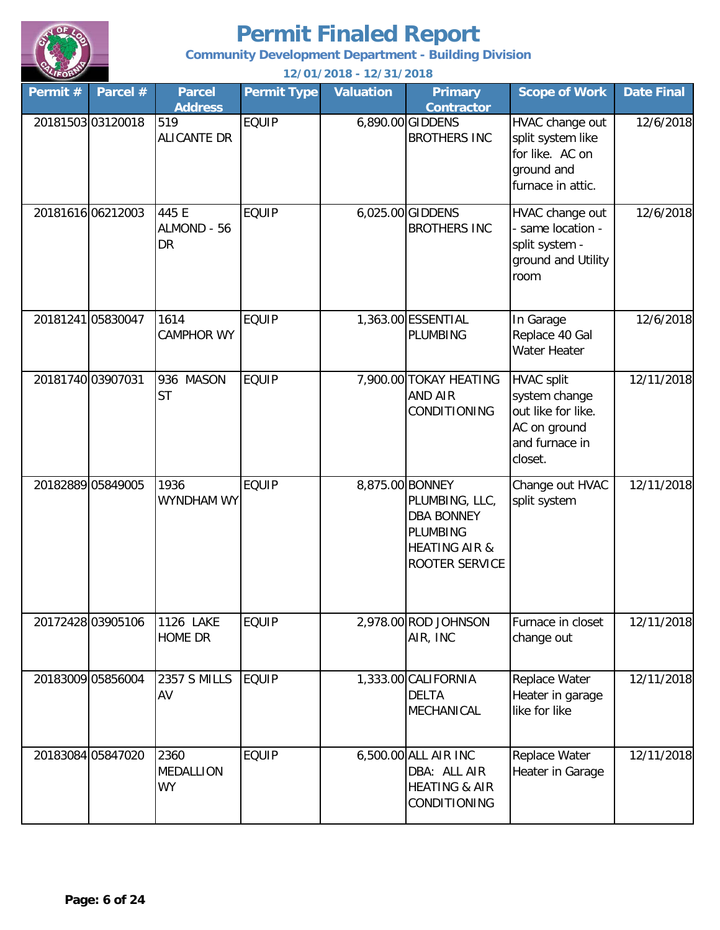

**Community Development Department - Building Division**

| Permit #          | Parcel #          | <b>Parcel</b><br><b>Address</b>       | <b>Permit Type</b> | <b>Valuation</b> | <b>Primary</b><br><b>Contractor</b>                                                                  | <b>Scope of Work</b>                                                                                  | <b>Date Final</b> |
|-------------------|-------------------|---------------------------------------|--------------------|------------------|------------------------------------------------------------------------------------------------------|-------------------------------------------------------------------------------------------------------|-------------------|
| 20181503 03120018 |                   | 519<br><b>ALICANTE DR</b>             | <b>EQUIP</b>       |                  | 6,890.00 GIDDENS<br><b>BROTHERS INC</b>                                                              | HVAC change out<br>split system like<br>for like. AC on<br>ground and<br>furnace in attic.            | 12/6/2018         |
|                   | 20181616 06212003 | 445 E<br>ALMOND - 56<br><b>DR</b>     | <b>EQUIP</b>       |                  | 6,025.00 GIDDENS<br><b>BROTHERS INC</b>                                                              | HVAC change out<br>- same location -<br>split system -<br>ground and Utility<br>room                  | 12/6/2018         |
| 20181241 05830047 |                   | 1614<br><b>CAMPHOR WY</b>             | <b>EQUIP</b>       |                  | 1,363.00 ESSENTIAL<br><b>PLUMBING</b>                                                                | In Garage<br>Replace 40 Gal<br>Water Heater                                                           | 12/6/2018         |
| 20181740 03907031 |                   | 936 MASON<br><b>ST</b>                | <b>EQUIP</b>       |                  | 7,900.00 TOKAY HEATING<br><b>AND AIR</b><br>CONDITIONING                                             | <b>HVAC split</b><br>system change<br>out like for like.<br>AC on ground<br>and furnace in<br>closet. | 12/11/2018        |
| 20182889 05849005 |                   | 1936<br>WYNDHAM WY                    | <b>EQUIP</b>       | 8,875.00 BONNEY  | PLUMBING, LLC,<br><b>DBA BONNEY</b><br><b>PLUMBING</b><br><b>HEATING AIR &amp;</b><br>ROOTER SERVICE | Change out HVAC<br>split system                                                                       | 12/11/2018        |
|                   | 20172428 03905106 | 1126 LAKE<br>HOME DR                  | <b>EQUIP</b>       |                  | 2,978.00 ROD JOHNSON<br>AIR, INC                                                                     | Furnace in closet<br>change out                                                                       | 12/11/2018        |
| 20183009 05856004 |                   | <b>2357 S MILLS</b><br>AV             | <b>EQUIP</b>       |                  | 1,333.00 CALIFORNIA<br><b>DELTA</b><br>MECHANICAL                                                    | Replace Water<br>Heater in garage<br>like for like                                                    | 12/11/2018        |
|                   | 20183084 05847020 | 2360<br><b>MEDALLION</b><br><b>WY</b> | <b>EQUIP</b>       |                  | 6,500.00 ALL AIR INC<br>DBA: ALL AIR<br><b>HEATING &amp; AIR</b><br>CONDITIONING                     | Replace Water<br>Heater in Garage                                                                     | 12/11/2018        |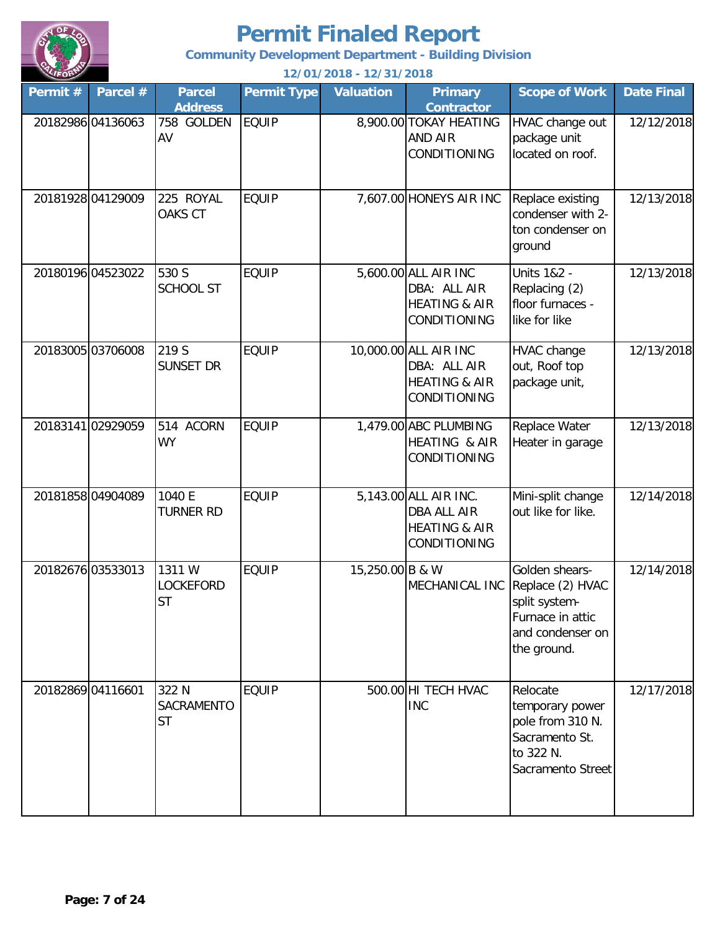

**Community Development Department - Building Division**

| Permit # | Parcel #          | <b>Parcel</b><br><b>Address</b>         | <b>Permit Type</b> | <b>Valuation</b> | <b>Primary</b><br><b>Contractor</b>                                               | <b>Scope of Work</b>                                                                                       | <b>Date Final</b> |
|----------|-------------------|-----------------------------------------|--------------------|------------------|-----------------------------------------------------------------------------------|------------------------------------------------------------------------------------------------------------|-------------------|
|          | 20182986 04136063 | 758 GOLDEN<br>AV                        | <b>EQUIP</b>       |                  | 8,900.00 TOKAY HEATING<br>AND AIR<br>CONDITIONING                                 | HVAC change out<br>package unit<br>located on roof.                                                        | 12/12/2018        |
|          | 20181928 04129009 | 225 ROYAL<br><b>OAKS CT</b>             | <b>EQUIP</b>       |                  | 7,607.00 HONEYS AIR INC                                                           | Replace existing<br>condenser with 2-<br>ton condenser on<br>ground                                        | 12/13/2018        |
|          | 20180196 04523022 | 530 S<br><b>SCHOOL ST</b>               | <b>EQUIP</b>       |                  | 5,600.00 ALL AIR INC<br>DBA: ALL AIR<br><b>HEATING &amp; AIR</b><br>CONDITIONING  | <b>Units 1&amp;2 -</b><br>Replacing (2)<br>floor furnaces -<br>like for like                               | 12/13/2018        |
|          | 20183005 03706008 | 219 S<br>SUNSET DR                      | <b>EQUIP</b>       |                  | 10,000.00 ALL AIR INC<br>DBA: ALL AIR<br><b>HEATING &amp; AIR</b><br>CONDITIONING | HVAC change<br>out, Roof top<br>package unit,                                                              | 12/13/2018        |
|          | 20183141 02929059 | 514 ACORN<br><b>WY</b>                  | <b>EQUIP</b>       |                  | 1,479.00 ABC PLUMBING<br>HEATING & AIR<br>CONDITIONING                            | Replace Water<br>Heater in garage                                                                          | 12/13/2018        |
|          | 20181858 04904089 | 1040 E<br><b>TURNER RD</b>              | <b>EQUIP</b>       |                  | 5,143.00 ALL AIR INC.<br>DBA ALL AIR<br><b>HEATING &amp; AIR</b><br>CONDITIONING  | Mini-split change<br>out like for like.                                                                    | 12/14/2018        |
|          | 20182676 03533013 | 1311 W<br><b>LOCKEFORD</b><br><b>ST</b> | <b>EQUIP</b>       | 15,250.00 B & W  | MECHANICAL INC                                                                    | Golden shears-<br>Replace (2) HVAC<br>split system-<br>Furnace in attic<br>and condenser on<br>the ground. | 12/14/2018        |
|          | 20182869 04116601 | 322 N<br>SACRAMENTO<br><b>ST</b>        | <b>EQUIP</b>       |                  | 500.00 HI TECH HVAC<br><b>INC</b>                                                 | Relocate<br>temporary power<br>pole from 310 N.<br>Sacramento St.<br>to 322 N.<br>Sacramento Street        | 12/17/2018        |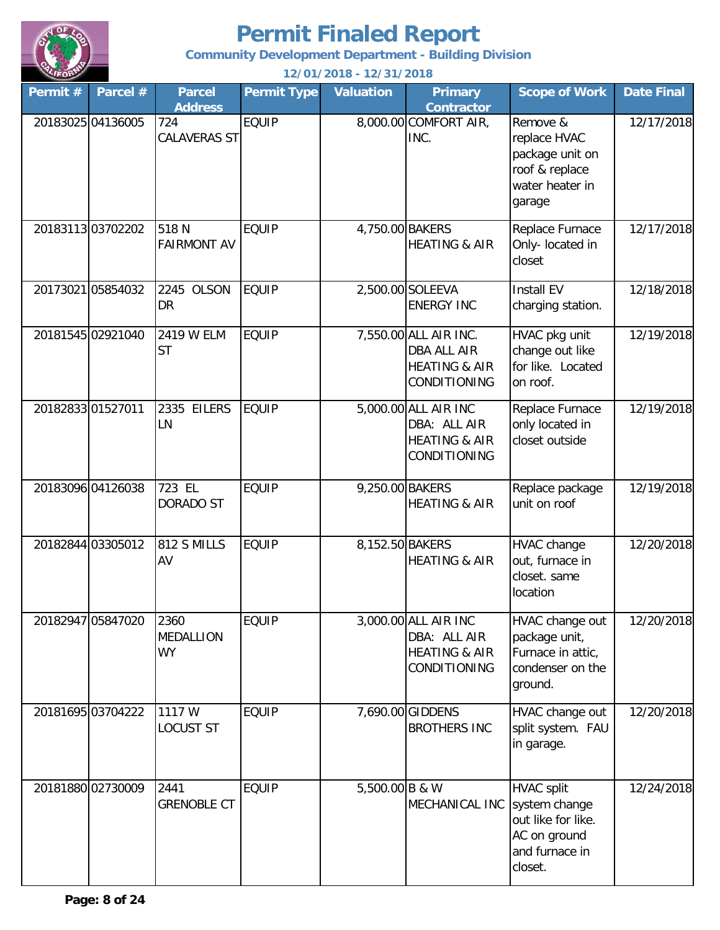

**Community Development Department - Building Division**

| Permit # | Parcel #          | <b>Parcel</b><br><b>Address</b>       | <b>Permit Type</b> | <b>Valuation</b> | <b>Primary</b><br><b>Contractor</b>                                                     | <b>Scope of Work</b>                                                                                  | <b>Date Final</b> |
|----------|-------------------|---------------------------------------|--------------------|------------------|-----------------------------------------------------------------------------------------|-------------------------------------------------------------------------------------------------------|-------------------|
|          | 20183025 04136005 | 724<br><b>CALAVERAS ST</b>            | <b>EQUIP</b>       |                  | 8,000.00 COMFORT AIR,<br>INC.                                                           | Remove &<br>replace HVAC<br>package unit on<br>roof & replace<br>water heater in<br>garage            | 12/17/2018        |
|          | 2018311303702202  | 518 N<br><b>FAIRMONT AV</b>           | <b>EQUIP</b>       | 4,750.00 BAKERS  | <b>HEATING &amp; AIR</b>                                                                | Replace Furnace<br>Only- located in<br>closet                                                         | 12/17/2018        |
|          | 20173021 05854032 | 2245 OLSON<br>DR                      | <b>EQUIP</b>       |                  | 2,500.00 SOLEEVA<br><b>ENERGY INC</b>                                                   | <b>Install EV</b><br>charging station.                                                                | 12/18/2018        |
|          | 20181545 02921040 | 2419 W ELM<br><b>ST</b>               | <b>EQUIP</b>       |                  | 7,550.00 ALL AIR INC.<br><b>DBA ALL AIR</b><br><b>HEATING &amp; AIR</b><br>CONDITIONING | HVAC pkg unit<br>change out like<br>for like. Located<br>on roof.                                     | 12/19/2018        |
|          | 2018283301527011  | 2335<br><b>EILERS</b><br>LN           | <b>EQUIP</b>       |                  | 5,000.00 ALL AIR INC<br>DBA: ALL AIR<br><b>HEATING &amp; AIR</b><br>CONDITIONING        | Replace Furnace<br>only located in<br>closet outside                                                  | 12/19/2018        |
|          | 20183096 04126038 | 723 EL<br>DORADO ST                   | <b>EQUIP</b>       | 9,250.00 BAKERS  | <b>HEATING &amp; AIR</b>                                                                | Replace package<br>unit on roof                                                                       | 12/19/2018        |
|          | 20182844 03305012 | 812 S MILLS<br>AV                     | <b>EQUIP</b>       | 8,152.50 BAKERS  | <b>HEATING &amp; AIR</b>                                                                | <b>HVAC</b> change<br>out, furnace in<br>closet. same<br>location                                     | 12/20/2018        |
|          | 20182947 05847020 | 2360<br><b>MEDALLION</b><br><b>WY</b> | <b>EQUIP</b>       |                  | 3,000.00 ALL AIR INC<br>DBA: ALL AIR<br><b>HEATING &amp; AIR</b><br>CONDITIONING        | HVAC change out<br>package unit,<br>Furnace in attic,<br>condenser on the<br>ground.                  | 12/20/2018        |
|          | 20181695 03704222 | 1117 W<br><b>LOCUST ST</b>            | <b>EQUIP</b>       |                  | 7,690.00 GIDDENS<br><b>BROTHERS INC</b>                                                 | HVAC change out<br>split system. FAU<br>in garage.                                                    | 12/20/2018        |
|          | 20181880 02730009 | 2441<br><b>GRENOBLE CT</b>            | <b>EQUIP</b>       | 5,500.00 B & W   | MECHANICAL INC                                                                          | <b>HVAC split</b><br>system change<br>out like for like.<br>AC on ground<br>and furnace in<br>closet. | 12/24/2018        |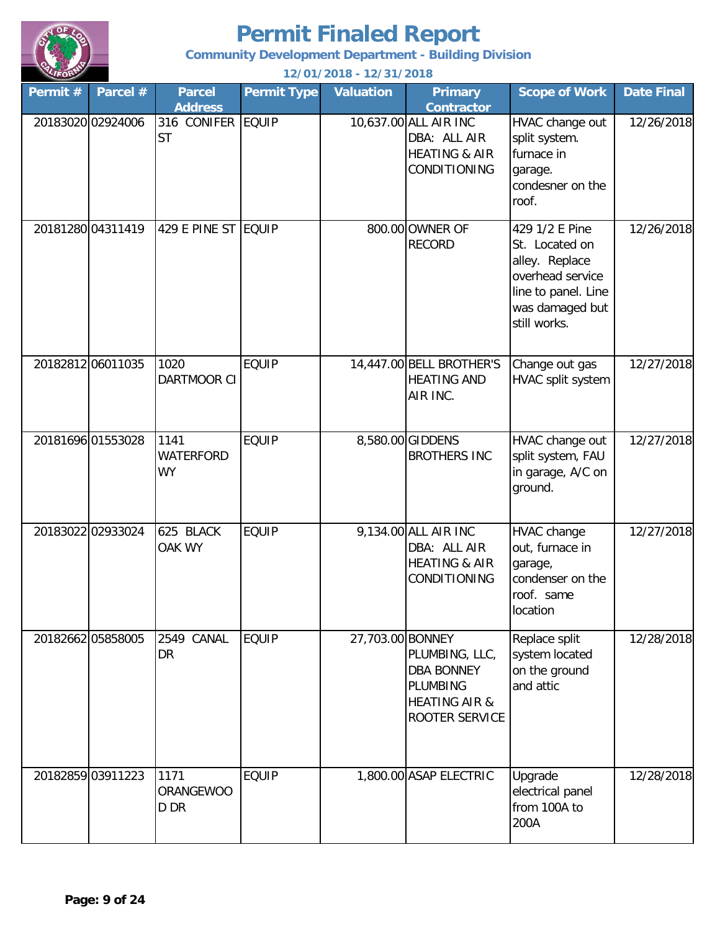

**Community Development Department - Building Division**

| Permit # | Parcel #          | <b>Parcel</b><br><b>Address</b>       | <b>Permit Type</b> | <b>Valuation</b> | <b>Primary</b><br><b>Contractor</b>                                                           | <b>Scope of Work</b>                                                                                                             | <b>Date Final</b> |
|----------|-------------------|---------------------------------------|--------------------|------------------|-----------------------------------------------------------------------------------------------|----------------------------------------------------------------------------------------------------------------------------------|-------------------|
|          | 20183020 02924006 | 316 CONIFER EQUIP<br><b>ST</b>        |                    |                  | 10,637.00 ALL AIR INC<br>DBA: ALL AIR<br><b>HEATING &amp; AIR</b><br>CONDITIONING             | HVAC change out<br>split system.<br>furnace in<br>garage.<br>condesner on the<br>roof.                                           | 12/26/2018        |
|          | 20181280 04311419 | 429 E PINE ST EQUIP                   |                    |                  | 800.00 OWNER OF<br><b>RECORD</b>                                                              | 429 1/2 E Pine<br>St. Located on<br>alley. Replace<br>overhead service<br>line to panel. Line<br>was damaged but<br>still works. | 12/26/2018        |
|          | 20182812 06011035 | 1020<br>DARTMOOR CI                   | <b>EQUIP</b>       |                  | 14,447.00 BELL BROTHER'S<br><b>HEATING AND</b><br>AIR INC.                                    | Change out gas<br>HVAC split system                                                                                              | 12/27/2018        |
|          | 20181696 01553028 | 1141<br><b>WATERFORD</b><br><b>WY</b> | <b>EQUIP</b>       |                  | 8,580.00 GIDDENS<br><b>BROTHERS INC</b>                                                       | HVAC change out<br>split system, FAU<br>in garage, A/C on<br>ground.                                                             | 12/27/2018        |
|          | 20183022 02933024 | 625 BLACK<br>OAK WY                   | <b>EQUIP</b>       |                  | 9,134.00 ALL AIR INC<br>DBA: ALL AIR<br><b>HEATING &amp; AIR</b><br><b>CONDITIONING</b>       | HVAC change<br>out, furnace in<br>garage,<br>condenser on the<br>roof. same<br>location                                          | 12/27/2018        |
|          | 20182662 05858005 | CANAL<br>2549<br>DR                   | <b>EQUIP</b>       | 27,703.00 BONNEY | PLUMBING, LLC,<br><b>DBA BONNEY</b><br>PLUMBING<br><b>HEATING AIR &amp;</b><br>ROOTER SERVICE | Replace split<br>system located<br>on the ground<br>and attic                                                                    | 12/28/2018        |
|          | 20182859 03911223 | 1171<br><b>ORANGEWOO</b><br>D DR      | <b>EQUIP</b>       |                  | 1,800.00 ASAP ELECTRIC                                                                        | Upgrade<br>electrical panel<br>from 100A to<br>200A                                                                              | 12/28/2018        |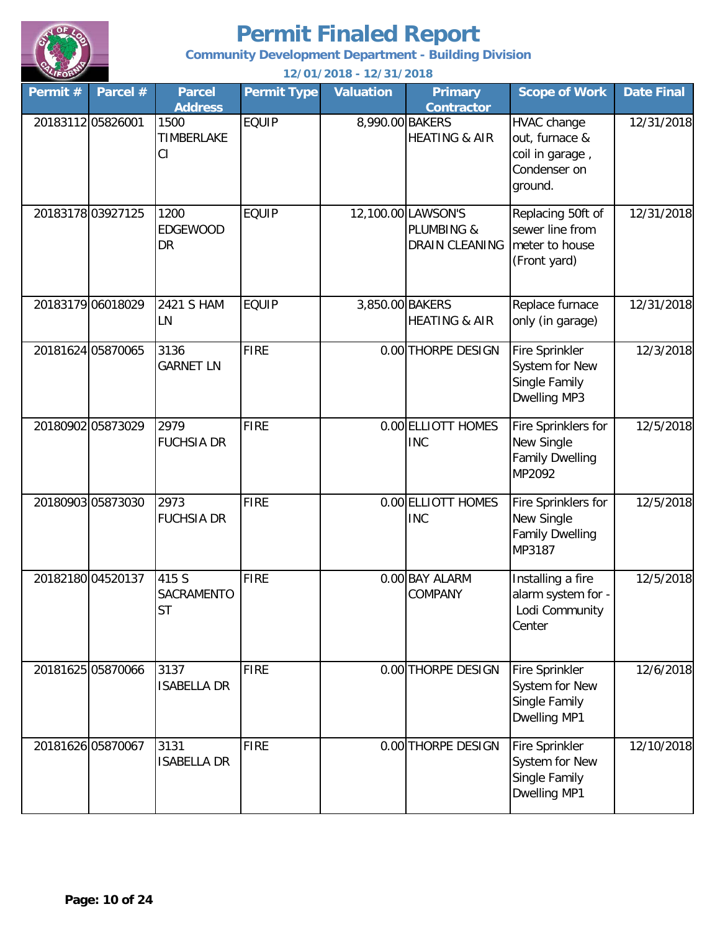

**Community Development Department - Building Division**

| Permit #         | Parcel #          | <b>Parcel</b><br><b>Address</b>      | <b>Permit Type</b> | <b>Valuation</b> | <b>Primary</b><br><b>Contractor</b>                       | <b>Scope of Work</b>                                                        | <b>Date Final</b> |
|------------------|-------------------|--------------------------------------|--------------------|------------------|-----------------------------------------------------------|-----------------------------------------------------------------------------|-------------------|
| 2018311205826001 |                   | 1500<br><b>TIMBERLAKE</b><br>CI      | <b>EQUIP</b>       | 8,990.00 BAKERS  | <b>HEATING &amp; AIR</b>                                  | HVAC change<br>out, furnace &<br>coil in garage,<br>Condenser on<br>ground. | 12/31/2018        |
|                  | 2018317803927125  | 1200<br><b>EDGEWOOD</b><br><b>DR</b> | <b>EQUIP</b>       |                  | 12,100.00 LAWSON'S<br>PLUMBING &<br><b>DRAIN CLEANING</b> | Replacing 50ft of<br>sewer line from<br>meter to house<br>(Front yard)      | 12/31/2018        |
|                  | 20183179 06018029 | 2421 S HAM<br>LN                     | <b>EQUIP</b>       | 3,850.00 BAKERS  | <b>HEATING &amp; AIR</b>                                  | Replace furnace<br>only (in garage)                                         | 12/31/2018        |
|                  | 20181624 05870065 | 3136<br><b>GARNET LN</b>             | <b>FIRE</b>        |                  | 0.00 THORPE DESIGN                                        | <b>Fire Sprinkler</b><br>System for New<br>Single Family<br>Dwelling MP3    | 12/3/2018         |
|                  | 20180902 05873029 | 2979<br><b>FUCHSIA DR</b>            | <b>FIRE</b>        |                  | 0.00 ELLIOTT HOMES<br><b>INC</b>                          | Fire Sprinklers for<br>New Single<br><b>Family Dwelling</b><br>MP2092       | 12/5/2018         |
|                  | 20180903 05873030 | 2973<br><b>FUCHSIA DR</b>            | <b>FIRE</b>        |                  | 0.00 ELLIOTT HOMES<br><b>INC</b>                          | Fire Sprinklers for<br>New Single<br><b>Family Dwelling</b><br>MP3187       | 12/5/2018         |
|                  | 20182180 04520137 | 415 S<br>SACRAMENTO<br>ST            | <b>FIRE</b>        |                  | 0.00 BAY ALARM<br>COMPANY                                 | Installing a fire<br>alarm system for -<br>Lodi Community<br>Center         | 12/5/2018         |
|                  | 20181625 05870066 | 3137<br><b>ISABELLA DR</b>           | <b>FIRE</b>        |                  | 0.00 THORPE DESIGN                                        | Fire Sprinkler<br>System for New<br>Single Family<br>Dwelling MP1           | 12/6/2018         |
|                  | 20181626 05870067 | 3131<br><b>ISABELLA DR</b>           | <b>FIRE</b>        |                  | 0.00 THORPE DESIGN                                        | Fire Sprinkler<br>System for New<br>Single Family<br>Dwelling MP1           | 12/10/2018        |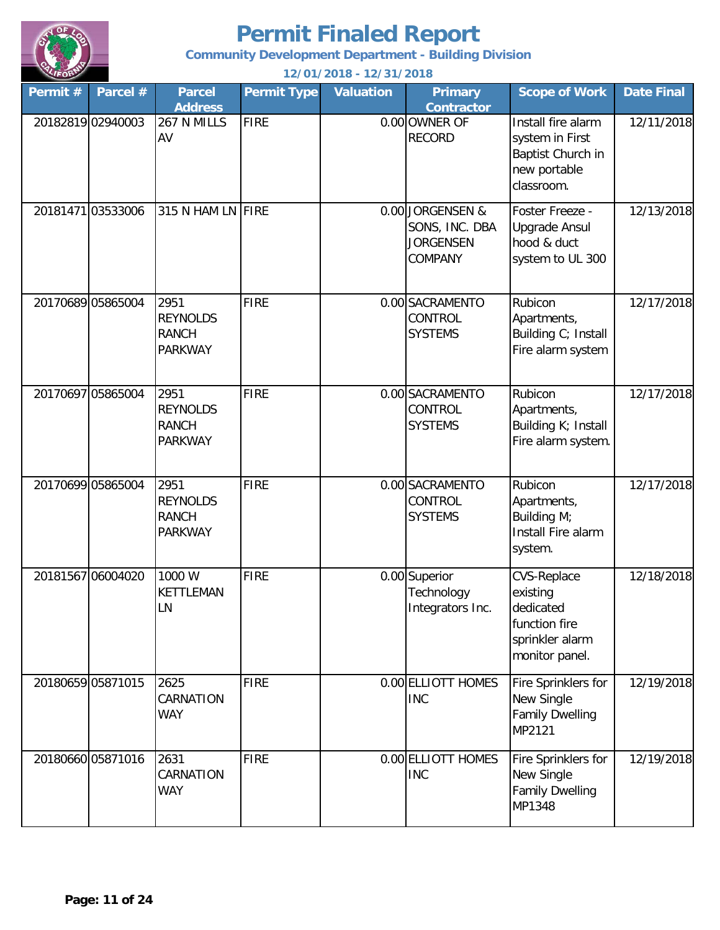

**Community Development Department - Building Division**

| Permit# | Parcel #          | <b>Parcel</b><br><b>Address</b>                           | <b>Permit Type</b> | <b>Valuation</b> | <b>Primary</b><br><b>Contractor</b>                               | <b>Scope of Work</b>                                                                              | <b>Date Final</b> |
|---------|-------------------|-----------------------------------------------------------|--------------------|------------------|-------------------------------------------------------------------|---------------------------------------------------------------------------------------------------|-------------------|
|         | 20182819 02940003 | 267 N MILLS<br>AV                                         | <b>FIRE</b>        |                  | 0.00 OWNER OF<br><b>RECORD</b>                                    | Install fire alarm<br>system in First<br>Baptist Church in<br>new portable<br>classroom.          | 12/11/2018        |
|         | 20181471 03533006 | 315 N HAM LN FIRE                                         |                    |                  | 0.00 JORGENSEN &<br>SONS, INC. DBA<br><b>JORGENSEN</b><br>COMPANY | Foster Freeze -<br><b>Upgrade Ansul</b><br>hood & duct<br>system to UL 300                        | 12/13/2018        |
|         | 20170689 05865004 | 2951<br><b>REYNOLDS</b><br><b>RANCH</b><br><b>PARKWAY</b> | <b>FIRE</b>        |                  | 0.00 SACRAMENTO<br>CONTROL<br><b>SYSTEMS</b>                      | Rubicon<br>Apartments,<br>Building C; Install<br>Fire alarm system                                | 12/17/2018        |
|         | 20170697 05865004 | 2951<br><b>REYNOLDS</b><br><b>RANCH</b><br><b>PARKWAY</b> | <b>FIRE</b>        |                  | 0.00 SACRAMENTO<br>CONTROL<br><b>SYSTEMS</b>                      | Rubicon<br>Apartments,<br>Building K; Install<br>Fire alarm system.                               | 12/17/2018        |
|         | 20170699 05865004 | 2951<br><b>REYNOLDS</b><br><b>RANCH</b><br><b>PARKWAY</b> | <b>FIRE</b>        |                  | 0.00 SACRAMENTO<br>CONTROL<br><b>SYSTEMS</b>                      | Rubicon<br>Apartments,<br>Building M;<br>Install Fire alarm<br>system.                            | 12/17/2018        |
|         | 20181567 06004020 | 1000 W<br>KETTLEMAN<br>LN                                 | <b>FIRE</b>        |                  | 0.00 Superior<br>Technology<br>Integrators Inc.                   | <b>CVS-Replace</b><br>existing<br>dedicated<br>function fire<br>sprinkler alarm<br>monitor panel. | 12/18/2018        |
|         | 20180659 05871015 | 2625<br>CARNATION<br><b>WAY</b>                           | <b>FIRE</b>        |                  | 0.00 ELLIOTT HOMES<br><b>INC</b>                                  | Fire Sprinklers for<br>New Single<br><b>Family Dwelling</b><br>MP2121                             | 12/19/2018        |
|         | 20180660 05871016 | 2631<br>CARNATION<br><b>WAY</b>                           | <b>FIRE</b>        |                  | 0.00 ELLIOTT HOMES<br><b>INC</b>                                  | Fire Sprinklers for<br>New Single<br><b>Family Dwelling</b><br>MP1348                             | 12/19/2018        |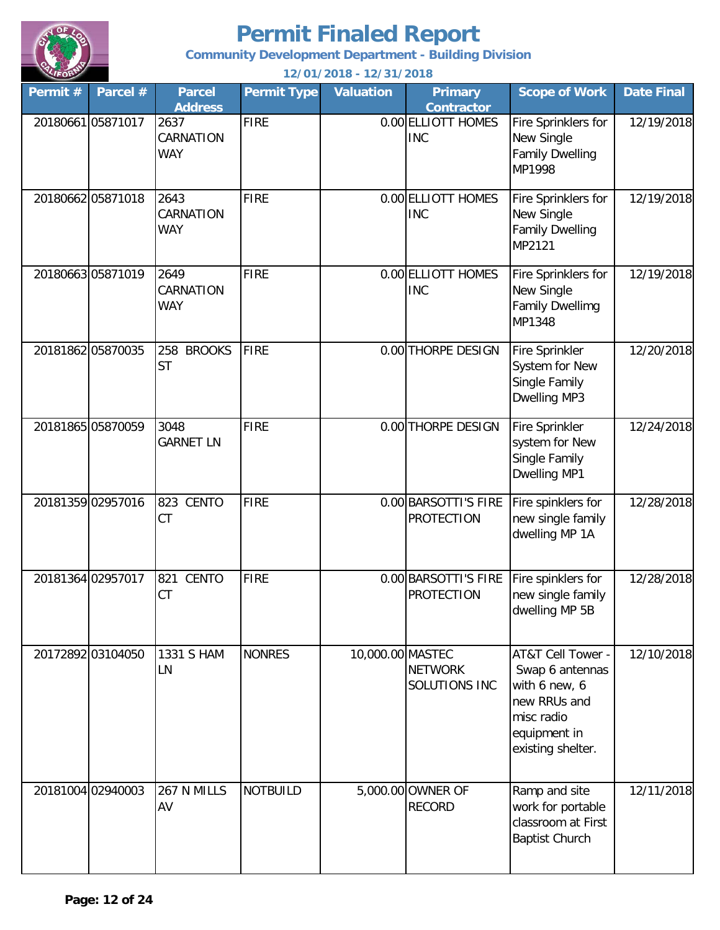

**Community Development Department - Building Division**

| Permit #          | Parcel #          | <b>Parcel</b><br><b>Address</b>        | <b>Permit Type</b> | <b>Valuation</b> | <b>Primary</b><br><b>Contractor</b>       | <b>Scope of Work</b>                                                                                                     | <b>Date Final</b> |
|-------------------|-------------------|----------------------------------------|--------------------|------------------|-------------------------------------------|--------------------------------------------------------------------------------------------------------------------------|-------------------|
| 20180661 05871017 |                   | 2637<br>CARNATION<br><b>WAY</b>        | <b>FIRE</b>        |                  | 0.00 ELLIOTT HOMES<br><b>INC</b>          | Fire Sprinklers for<br>New Single<br><b>Family Dwelling</b><br>MP1998                                                    | 12/19/2018        |
|                   | 20180662 05871018 | 2643<br>CARNATION<br><b>WAY</b>        | <b>FIRE</b>        |                  | 0.00 ELLIOTT HOMES<br><b>INC</b>          | Fire Sprinklers for<br>New Single<br><b>Family Dwelling</b><br>MP2121                                                    | 12/19/2018        |
|                   | 2018066305871019  | 2649<br><b>CARNATION</b><br><b>WAY</b> | <b>FIRE</b>        |                  | 0.00 ELLIOTT HOMES<br><b>INC</b>          | Fire Sprinklers for<br>New Single<br><b>Family Dwellimg</b><br>MP1348                                                    | 12/19/2018        |
|                   | 20181862 05870035 | 258 BROOKS<br><b>ST</b>                | <b>FIRE</b>        |                  | 0.00 THORPE DESIGN                        | <b>Fire Sprinkler</b><br>System for New<br>Single Family<br>Dwelling MP3                                                 | 12/20/2018        |
|                   | 20181865 05870059 | 3048<br><b>GARNET LN</b>               | <b>FIRE</b>        |                  | 0.00 THORPE DESIGN                        | Fire Sprinkler<br>system for New<br>Single Family<br>Dwelling MP1                                                        | 12/24/2018        |
|                   | 20181359 02957016 | 823 CENTO<br><b>CT</b>                 | <b>FIRE</b>        |                  | 0.00 BARSOTTI'S FIRE<br><b>PROTECTION</b> | Fire spinklers for<br>new single family<br>dwelling MP 1A                                                                | 12/28/2018        |
|                   | 20181364 02957017 | <b>CENTO</b><br>821<br>CT              | <b>FIRE</b>        |                  | 0.00 BARSOTTI'S FIRE<br><b>PROTECTION</b> | Fire spinklers for<br>new single family<br>dwelling MP 5B                                                                | 12/28/2018        |
|                   | 20172892 03104050 | 1331 S HAM<br>LN                       | <b>NONRES</b>      | 10,000.00 MASTEC | <b>NETWORK</b><br>SOLUTIONS INC           | AT&T Cell Tower -<br>Swap 6 antennas<br>with 6 new, 6<br>new RRUs and<br>misc radio<br>equipment in<br>existing shelter. | 12/10/2018        |
|                   | 20181004 02940003 | 267 N MILLS<br>AV                      | <b>NOTBUILD</b>    |                  | 5,000.00 OWNER OF<br><b>RECORD</b>        | Ramp and site<br>work for portable<br>classroom at First<br><b>Baptist Church</b>                                        | 12/11/2018        |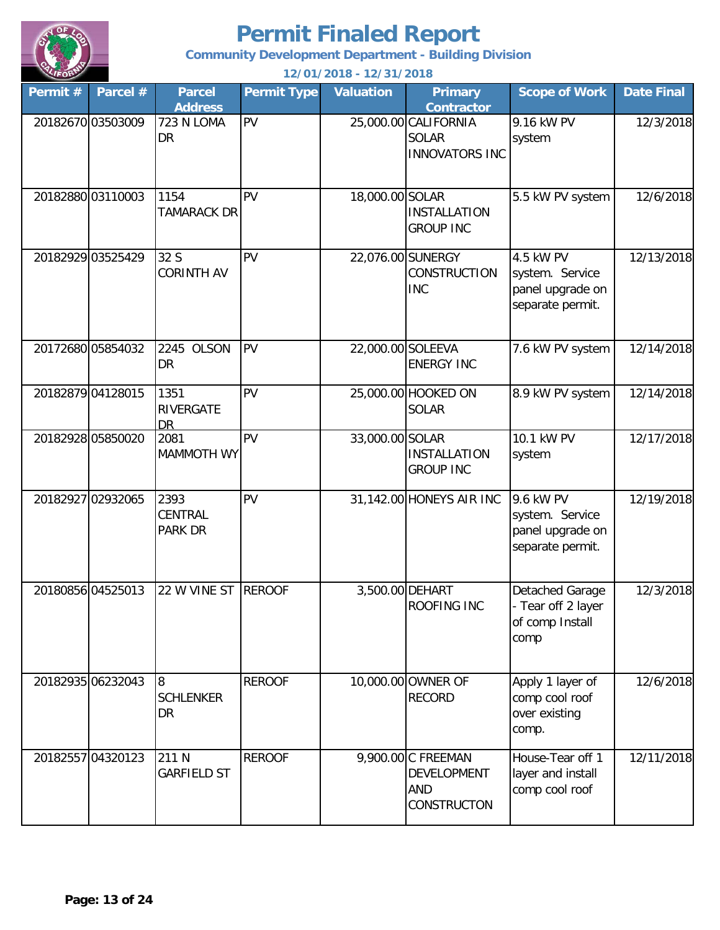

**Community Development Department - Building Division**

| Permit # | Parcel #          | <b>Parcel</b><br><b>Address</b>       | <b>Permit Type</b> | <b>Valuation</b>  | <b>Primary</b><br><b>Contractor</b>                                   | <b>Scope of Work</b>                                                 | <b>Date Final</b> |
|----------|-------------------|---------------------------------------|--------------------|-------------------|-----------------------------------------------------------------------|----------------------------------------------------------------------|-------------------|
|          | 20182670 03503009 | 723 N LOMA<br>DR                      | PV                 |                   | 25,000.00 CALIFORNIA<br><b>SOLAR</b><br><b>INNOVATORS INC</b>         | 9.16 kW PV<br>system                                                 | 12/3/2018         |
|          | 20182880 03110003 | 1154<br><b>TAMARACK DR</b>            | PV                 | 18,000.00 SOLAR   | <b>INSTALLATION</b><br><b>GROUP INC</b>                               | 5.5 kW PV system                                                     | 12/6/2018         |
|          | 20182929 03525429 | 32 S<br><b>CORINTH AV</b>             | PV                 |                   | 22,076.00 SUNERGY<br><b>CONSTRUCTION</b><br><b>INC</b>                | 4.5 kW PV<br>system. Service<br>panel upgrade on<br>separate permit. | 12/13/2018        |
|          | 20172680 05854032 | 2245 OLSON<br>DR                      | PV                 | 22,000.00 SOLEEVA | <b>ENERGY INC</b>                                                     | 7.6 kW PV system                                                     | 12/14/2018        |
|          | 20182879 04128015 | 1351<br><b>RIVERGATE</b><br><b>DR</b> | PV                 |                   | 25,000.00 HOOKED ON<br><b>SOLAR</b>                                   | 8.9 kW PV system                                                     | 12/14/2018        |
|          | 20182928 05850020 | 2081<br><b>MAMMOTH WY</b>             | PV                 | 33,000.00 SOLAR   | <b>INSTALLATION</b><br><b>GROUP INC</b>                               | 10.1 kW PV<br>system                                                 | 12/17/2018        |
|          | 20182927 02932065 | 2393<br>CENTRAL<br><b>PARK DR</b>     | PV                 |                   | 31,142.00 HONEYS AIR INC                                              | 9.6 kW PV<br>system. Service<br>panel upgrade on<br>separate permit. | 12/19/2018        |
|          | 20180856 04525013 | 22 W VINE ST                          | <b>REROOF</b>      |                   | 3,500.00 DEHART<br>ROOFING INC                                        | Detached Garage<br>- Tear off 2 layer<br>of comp Install<br>comp     | 12/3/2018         |
|          | 20182935 06232043 | 8<br><b>SCHLENKER</b><br>DR           | <b>REROOF</b>      |                   | 10,000.00 OWNER OF<br><b>RECORD</b>                                   | Apply 1 layer of<br>comp cool roof<br>over existing<br>comp.         | 12/6/2018         |
|          | 20182557 04320123 | 211 N<br><b>GARFIELD ST</b>           | <b>REROOF</b>      |                   | 9,900.00 C FREEMAN<br><b>DEVELOPMENT</b><br>AND<br><b>CONSTRUCTON</b> | House-Tear off 1<br>layer and install<br>comp cool roof              | 12/11/2018        |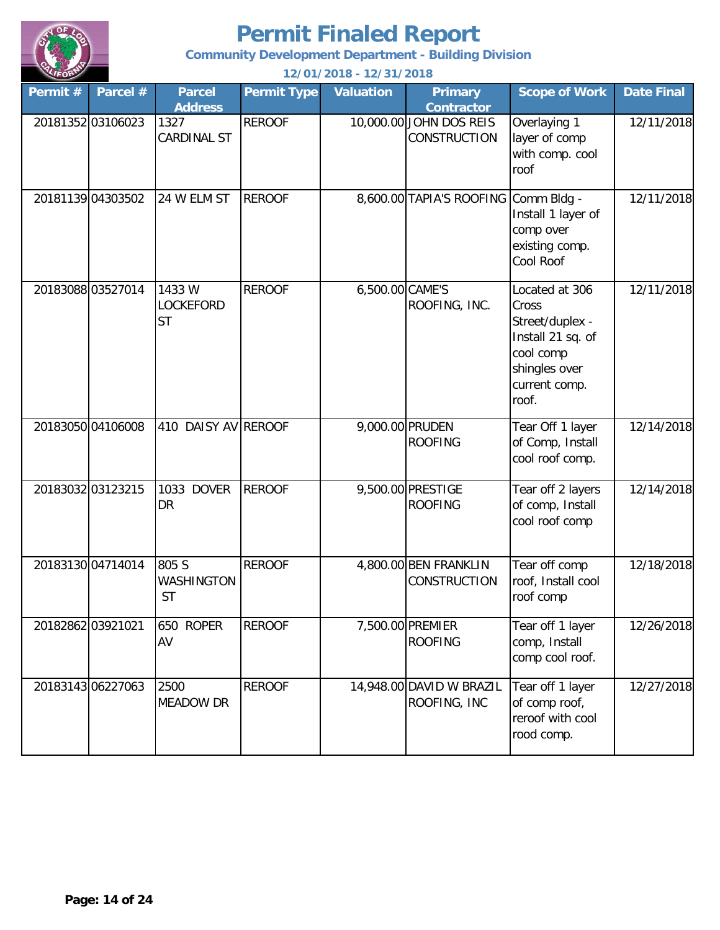

**Community Development Department - Building Division**

| Permit # | Parcel #          | <b>Parcel</b><br><b>Address</b>         | <b>Permit Type</b> | <b>Valuation</b> | <b>Primary</b><br><b>Contractor</b>            | <b>Scope of Work</b>                                                                                                    | <b>Date Final</b> |
|----------|-------------------|-----------------------------------------|--------------------|------------------|------------------------------------------------|-------------------------------------------------------------------------------------------------------------------------|-------------------|
|          | 20181352 03106023 | 1327<br><b>CARDINAL ST</b>              | <b>REROOF</b>      |                  | 10,000.00 JOHN DOS REIS<br><b>CONSTRUCTION</b> | Overlaying 1<br>layer of comp<br>with comp. cool<br>roof                                                                | 12/11/2018        |
|          | 20181139 04303502 | 24 W ELM ST                             | <b>REROOF</b>      |                  | 8,600.00 TAPIA'S ROOFING Comm Bldg -           | Install 1 layer of<br>comp over<br>existing comp.<br>Cool Roof                                                          | 12/11/2018        |
|          | 2018308803527014  | 1433 W<br><b>LOCKEFORD</b><br><b>ST</b> | <b>REROOF</b>      | 6,500.00 CAME'S  | ROOFING, INC.                                  | Located at 306<br>Cross<br>Street/duplex -<br>Install 21 sq. of<br>cool comp<br>shingles over<br>current comp.<br>roof. | 12/11/2018        |
|          | 20183050 04106008 | 410 DAISY AV REROOF                     |                    |                  | 9,000.00 PRUDEN<br><b>ROOFING</b>              | Tear Off 1 layer<br>of Comp, Install<br>cool roof comp.                                                                 | 12/14/2018        |
|          | 20183032 03123215 | <b>DOVER</b><br>1033<br><b>DR</b>       | <b>REROOF</b>      |                  | 9,500.00 PRESTIGE<br><b>ROOFING</b>            | Tear off 2 layers<br>of comp, Install<br>cool roof comp                                                                 | 12/14/2018        |
|          | 2018313004714014  | 805 S<br>WASHINGTON<br><b>ST</b>        | <b>REROOF</b>      |                  | 4,800.00 BEN FRANKLIN<br><b>CONSTRUCTION</b>   | Tear off comp<br>roof, Install cool<br>roof comp                                                                        | 12/18/2018        |
|          | 20182862 03921021 | 650 ROPER<br>AV                         | <b>REROOF</b>      |                  | 7,500.00 PREMIER<br><b>ROOFING</b>             | Tear off 1 layer<br>comp, Install<br>comp cool roof.                                                                    | 12/26/2018        |
|          | 20183143 06227063 | 2500<br><b>MEADOW DR</b>                | <b>REROOF</b>      |                  | 14,948.00 DAVID W BRAZIL<br>ROOFING, INC       | Tear off 1 layer<br>of comp roof,<br>reroof with cool<br>rood comp.                                                     | 12/27/2018        |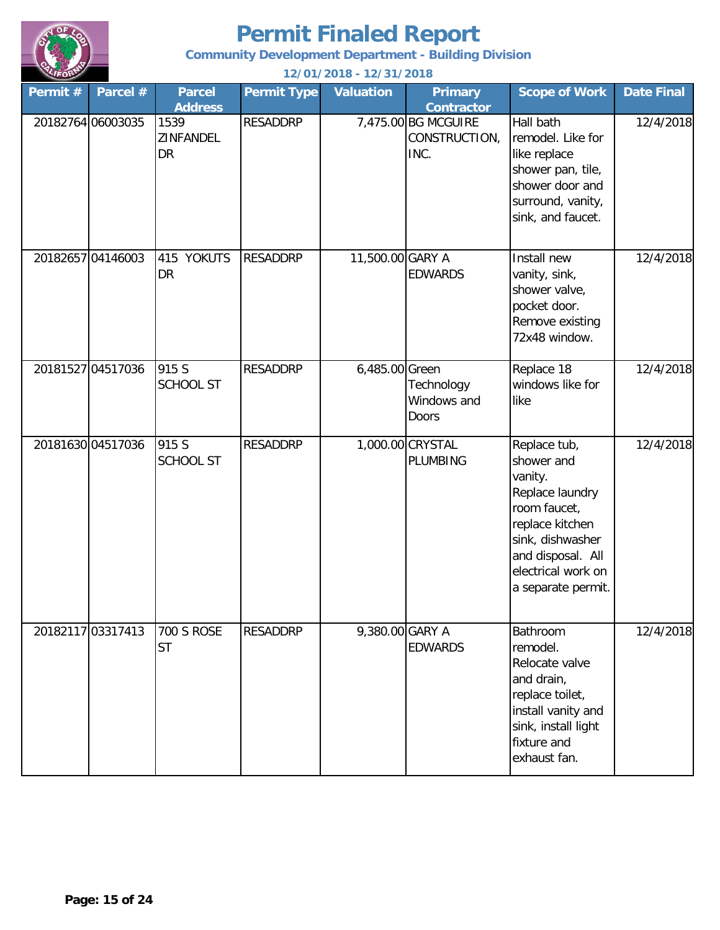

**Community Development Department - Building Division**

| Permit # | Parcel #          | <b>Parcel</b><br><b>Address</b> | <b>Permit Type</b> | <b>Valuation</b> | <b>Primary</b><br><b>Contractor</b>          | <b>Scope of Work</b>                                                                                                                                                             | <b>Date Final</b> |
|----------|-------------------|---------------------------------|--------------------|------------------|----------------------------------------------|----------------------------------------------------------------------------------------------------------------------------------------------------------------------------------|-------------------|
|          | 20182764 06003035 | 1539<br>ZINFANDEL<br><b>DR</b>  | <b>RESADDRP</b>    |                  | 7,475.00 BG MCGUIRE<br>CONSTRUCTION,<br>INC. | Hall bath<br>remodel. Like for<br>like replace<br>shower pan, tile,<br>shower door and<br>surround, vanity,<br>sink, and faucet.                                                 | 12/4/2018         |
|          | 20182657 04146003 | 415 YOKUTS<br><b>DR</b>         | <b>RESADDRP</b>    | 11,500.00 GARY A | <b>EDWARDS</b>                               | Install new<br>vanity, sink,<br>shower valve,<br>pocket door.<br>Remove existing<br>72x48 window.                                                                                | 12/4/2018         |
|          | 20181527 04517036 | 915 S<br><b>SCHOOL ST</b>       | <b>RESADDRP</b>    | 6,485.00 Green   | Technology<br>Windows and<br><b>Doors</b>    | Replace 18<br>windows like for<br>like                                                                                                                                           | 12/4/2018         |
|          | 20181630 04517036 | 915 S<br><b>SCHOOL ST</b>       | <b>RESADDRP</b>    |                  | 1,000.00 CRYSTAL<br><b>PLUMBING</b>          | Replace tub,<br>shower and<br>vanity.<br>Replace laundry<br>room faucet,<br>replace kitchen<br>sink, dishwasher<br>and disposal. All<br>electrical work on<br>a separate permit. | 12/4/2018         |
|          | 20182117 03317413 | <b>700 S ROSE</b><br><b>ST</b>  | <b>RESADDRP</b>    | 9,380.00 GARY A  | <b>EDWARDS</b>                               | Bathroom<br>remodel.<br>Relocate valve<br>and drain,<br>replace toilet,<br>install vanity and<br>sink, install light<br>fixture and<br>exhaust fan.                              | 12/4/2018         |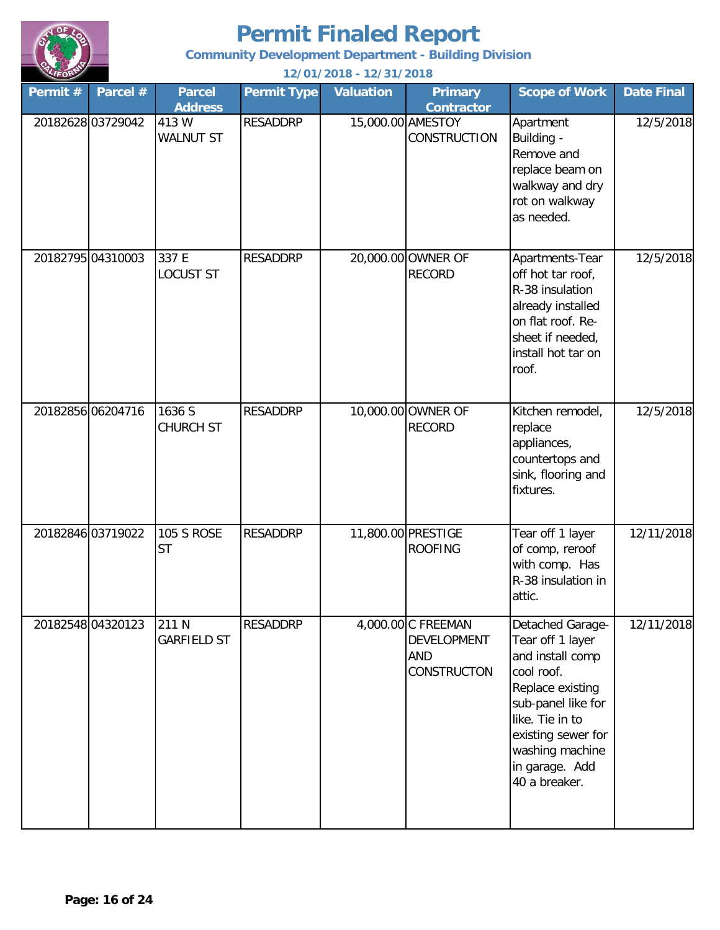

**Community Development Department - Building Division**

| Permit # | Parcel #          | <b>Parcel</b><br><b>Address</b> | <b>Permit Type</b> | <b>Valuation</b> | <b>Primary</b><br><b>Contractor</b>                                   | <b>Scope of Work</b>                                                                                                                                                                                            | <b>Date Final</b> |
|----------|-------------------|---------------------------------|--------------------|------------------|-----------------------------------------------------------------------|-----------------------------------------------------------------------------------------------------------------------------------------------------------------------------------------------------------------|-------------------|
|          | 20182628 03729042 | 413 W<br><b>WALNUT ST</b>       | <b>RESADDRP</b>    |                  | 15,000.00 AMESTOY<br>CONSTRUCTION                                     | Apartment<br>Building -<br>Remove and<br>replace beam on<br>walkway and dry<br>rot on walkway<br>as needed.                                                                                                     | 12/5/2018         |
|          | 20182795 04310003 | 337 E<br><b>LOCUST ST</b>       | <b>RESADDRP</b>    |                  | 20,000.00 OWNER OF<br><b>RECORD</b>                                   | Apartments-Tear<br>off hot tar roof,<br>R-38 insulation<br>already installed<br>on flat roof. Re-<br>sheet if needed,<br>install hot tar on<br>roof.                                                            | 12/5/2018         |
|          | 20182856 06204716 | $1636\overline{S}$<br>CHURCH ST | <b>RESADDRP</b>    |                  | 10,000.00 OWNER OF<br><b>RECORD</b>                                   | Kitchen remodel,<br>replace<br>appliances,<br>countertops and<br>sink, flooring and<br>fixtures.                                                                                                                | 12/5/2018         |
|          | 20182846 03719022 | <b>105 S ROSE</b><br><b>ST</b>  | <b>RESADDRP</b>    |                  | 11,800.00 PRESTIGE<br><b>ROOFING</b>                                  | Tear off 1 layer<br>of comp, reroof<br>with comp. Has<br>R-38 insulation in<br>attic.                                                                                                                           | 12/11/2018        |
|          | 20182548 04320123 | 211 N<br><b>GARFIELD ST</b>     | <b>RESADDRP</b>    |                  | 4,000.00 C FREEMAN<br>DEVELOPMENT<br><b>AND</b><br><b>CONSTRUCTON</b> | Detached Garage-<br>Tear off 1 layer<br>and install comp<br>cool roof.<br>Replace existing<br>sub-panel like for<br>like. Tie in to<br>existing sewer for<br>washing machine<br>in garage. Add<br>40 a breaker. | 12/11/2018        |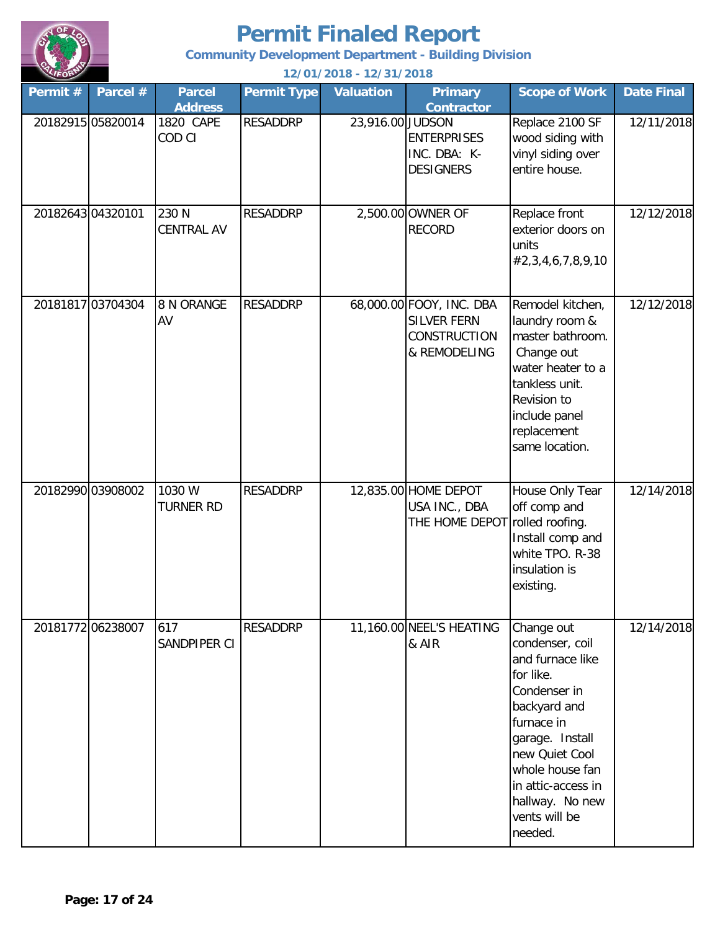

**Community Development Department - Building Division**

| Permit# | Parcel #          | <b>Parcel</b><br><b>Address</b> | <b>Permit Type</b> | <b>Valuation</b> | <b>Primary</b><br><b>Contractor</b>                                                   | <b>Scope of Work</b>                                                                                                                                                                                                                      | <b>Date Final</b> |
|---------|-------------------|---------------------------------|--------------------|------------------|---------------------------------------------------------------------------------------|-------------------------------------------------------------------------------------------------------------------------------------------------------------------------------------------------------------------------------------------|-------------------|
|         | 20182915 05820014 | 1820 CAPE<br>COD CI             | <b>RESADDRP</b>    | 23,916.00 JUDSON | <b>ENTERPRISES</b><br>INC. DBA: K-<br><b>DESIGNERS</b>                                | Replace 2100 SF<br>wood siding with<br>vinyl siding over<br>entire house.                                                                                                                                                                 | 12/11/2018        |
|         | 20182643 04320101 | 230 N<br><b>CENTRAL AV</b>      | <b>RESADDRP</b>    |                  | 2,500.00 OWNER OF<br><b>RECORD</b>                                                    | Replace front<br>exterior doors on<br>units<br>#2,3,4,6,7,8,9,10                                                                                                                                                                          | 12/12/2018        |
|         | 20181817 03704304 | 8 N ORANGE<br>AV                | <b>RESADDRP</b>    |                  | 68,000.00 FOOY, INC. DBA<br><b>SILVER FERN</b><br><b>CONSTRUCTION</b><br>& REMODELING | Remodel kitchen,<br>laundry room &<br>master bathroom.<br>Change out<br>water heater to a<br>tankless unit.<br>Revision to<br>include panel<br>replacement<br>same location.                                                              | 12/12/2018        |
|         | 20182990 03908002 | 1030 W<br><b>TURNER RD</b>      | <b>RESADDRP</b>    |                  | 12,835.00 HOME DEPOT<br>USA INC., DBA<br>THE HOME DEPOT rolled roofing.               | House Only Tear<br>off comp and<br>Install comp and<br>white TPO. R-38<br>insulation is<br>existing.                                                                                                                                      | 12/14/2018        |
|         | 20181772 06238007 | 617<br>SANDPIPER CI             | <b>RESADDRP</b>    |                  | 11,160.00 NEEL'S HEATING<br>& AIR                                                     | Change out<br>condenser, coil<br>and furnace like<br>for like.<br>Condenser in<br>backyard and<br>furnace in<br>garage. Install<br>new Quiet Cool<br>whole house fan<br>in attic-access in<br>hallway. No new<br>vents will be<br>needed. | 12/14/2018        |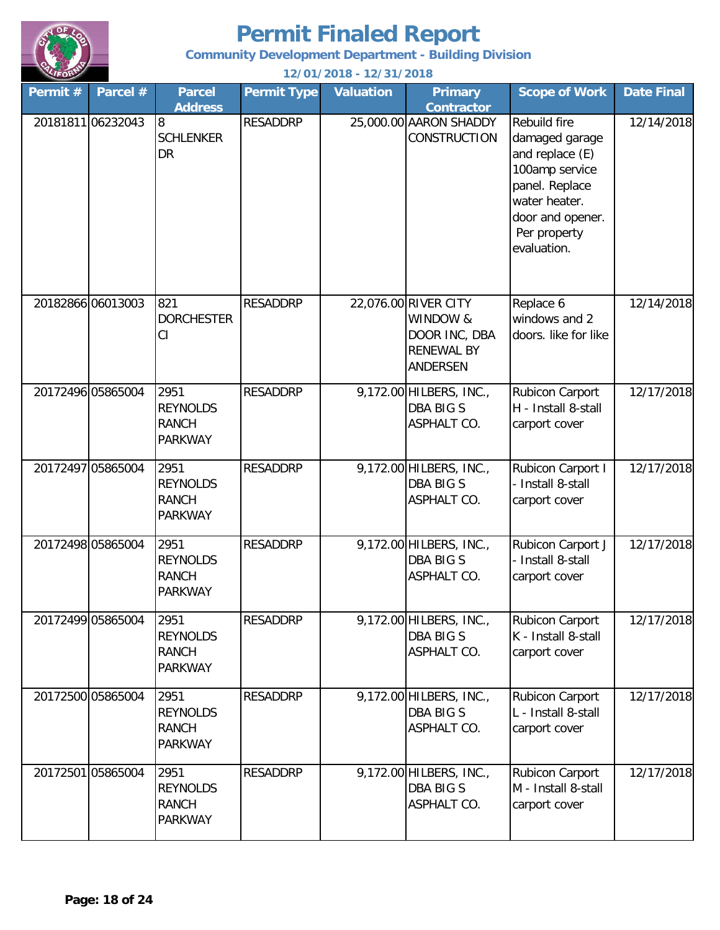

**Community Development Department - Building Division**

| Permit #          | Parcel #          | <b>Parcel</b><br><b>Address</b>                           | <b>Permit Type</b> | <b>Valuation</b> | <b>Primary</b><br><b>Contractor</b>                                                | <b>Scope of Work</b>                                                                                                                                      | <b>Date Final</b> |
|-------------------|-------------------|-----------------------------------------------------------|--------------------|------------------|------------------------------------------------------------------------------------|-----------------------------------------------------------------------------------------------------------------------------------------------------------|-------------------|
|                   | 20181811 06232043 | 8<br><b>SCHLENKER</b><br><b>DR</b>                        | <b>RESADDRP</b>    |                  | 25,000.00 AARON SHADDY<br><b>CONSTRUCTION</b>                                      | Rebuild fire<br>damaged garage<br>and replace (E)<br>100amp service<br>panel. Replace<br>water heater.<br>door and opener.<br>Per property<br>evaluation. | 12/14/2018        |
|                   | 20182866 06013003 | 821<br><b>DORCHESTER</b><br>CI                            | <b>RESADDRP</b>    |                  | 22,076.00 RIVER CITY<br>WINDOW &<br>DOOR INC, DBA<br><b>RENEWAL BY</b><br>ANDERSEN | Replace 6<br>windows and 2<br>doors. like for like                                                                                                        | 12/14/2018        |
| 20172496 05865004 |                   | 2951<br><b>REYNOLDS</b><br><b>RANCH</b><br><b>PARKWAY</b> | <b>RESADDRP</b>    |                  | 9,172.00 HILBERS, INC.,<br><b>DBA BIG S</b><br>ASPHALT CO.                         | Rubicon Carport<br>H - Install 8-stall<br>carport cover                                                                                                   | 12/17/2018        |
|                   | 20172497 05865004 | 2951<br><b>REYNOLDS</b><br><b>RANCH</b><br><b>PARKWAY</b> | <b>RESADDRP</b>    |                  | 9,172.00 HILBERS, INC.,<br><b>DBA BIG S</b><br>ASPHALT CO.                         | Rubicon Carport I<br>- Install 8-stall<br>carport cover                                                                                                   | 12/17/2018        |
|                   | 20172498 05865004 | 2951<br><b>REYNOLDS</b><br><b>RANCH</b><br><b>PARKWAY</b> | <b>RESADDRP</b>    |                  | 9,172.00 HILBERS, INC.,<br><b>DBA BIG S</b><br><b>ASPHALT CO.</b>                  | Rubicon Carport J<br>Install 8-stall<br>carport cover                                                                                                     | 12/17/2018        |
|                   | 20172499 05865004 | 2951<br><b>REYNOLDS</b><br><b>RANCH</b><br><b>PARKWAY</b> | <b>RESADDRP</b>    |                  | 9,172.00 HILBERS, INC.,<br><b>DBA BIG S</b><br><b>ASPHALT CO.</b>                  | Rubicon Carport<br>K - Install 8-stall<br>carport cover                                                                                                   | 12/17/2018        |
|                   | 20172500 05865004 | 2951<br><b>REYNOLDS</b><br><b>RANCH</b><br><b>PARKWAY</b> | <b>RESADDRP</b>    |                  | 9,172.00 HILBERS, INC.,<br><b>DBA BIG S</b><br>ASPHALT CO.                         | Rubicon Carport<br>L - Install 8-stall<br>carport cover                                                                                                   | 12/17/2018        |
|                   | 20172501 05865004 | 2951<br><b>REYNOLDS</b><br><b>RANCH</b><br><b>PARKWAY</b> | <b>RESADDRP</b>    |                  | 9,172.00 HILBERS, INC.,<br><b>DBA BIG S</b><br>ASPHALT CO.                         | Rubicon Carport<br>M - Install 8-stall<br>carport cover                                                                                                   | 12/17/2018        |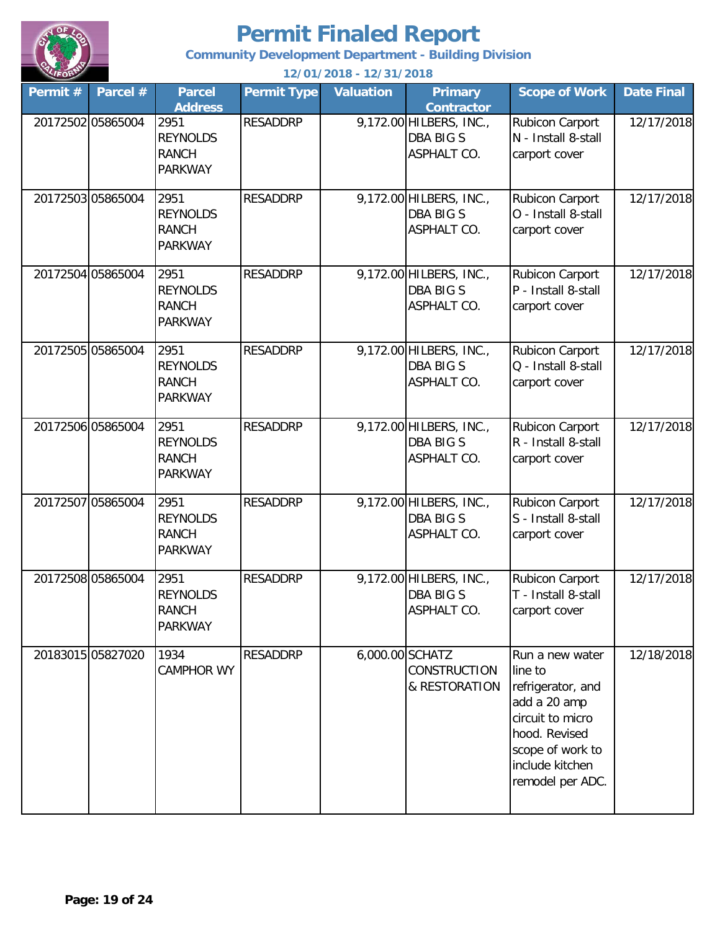

**Community Development Department - Building Division**

| Permit # | Parcel #          | <b>Parcel</b><br><b>Address</b>                           | <b>Permit Type</b> | <b>Valuation</b> | <b>Primary</b><br><b>Contractor</b>                               | <b>Scope of Work</b>                                                                                                                                            | <b>Date Final</b> |
|----------|-------------------|-----------------------------------------------------------|--------------------|------------------|-------------------------------------------------------------------|-----------------------------------------------------------------------------------------------------------------------------------------------------------------|-------------------|
|          | 20172502 05865004 | 2951<br><b>REYNOLDS</b><br><b>RANCH</b><br><b>PARKWAY</b> | <b>RESADDRP</b>    |                  | 9,172.00 HILBERS, INC.,<br><b>DBA BIG S</b><br>ASPHALT CO.        | Rubicon Carport<br>N - Install 8-stall<br>carport cover                                                                                                         | 12/17/2018        |
|          | 20172503 05865004 | 2951<br><b>REYNOLDS</b><br><b>RANCH</b><br><b>PARKWAY</b> | <b>RESADDRP</b>    |                  | 9,172.00 HILBERS, INC.,<br><b>DBA BIG S</b><br><b>ASPHALT CO.</b> | Rubicon Carport<br>O - Install 8-stall<br>carport cover                                                                                                         | 12/17/2018        |
|          | 20172504 05865004 | 2951<br><b>REYNOLDS</b><br><b>RANCH</b><br><b>PARKWAY</b> | <b>RESADDRP</b>    |                  | 9,172.00 HILBERS, INC.,<br><b>DBA BIG S</b><br>ASPHALT CO.        | Rubicon Carport<br>P - Install 8-stall<br>carport cover                                                                                                         | 12/17/2018        |
|          | 20172505 05865004 | 2951<br><b>REYNOLDS</b><br><b>RANCH</b><br><b>PARKWAY</b> | <b>RESADDRP</b>    |                  | 9,172.00 HILBERS, INC.,<br><b>DBA BIG S</b><br>ASPHALT CO.        | Rubicon Carport<br>Q - Install 8-stall<br>carport cover                                                                                                         | 12/17/2018        |
|          | 20172506 05865004 | 2951<br><b>REYNOLDS</b><br><b>RANCH</b><br><b>PARKWAY</b> | <b>RESADDRP</b>    |                  | 9,172.00 HILBERS, INC.,<br><b>DBA BIG S</b><br>ASPHALT CO.        | Rubicon Carport<br>R - Install 8-stall<br>carport cover                                                                                                         | 12/17/2018        |
|          | 20172507 05865004 | 2951<br><b>REYNOLDS</b><br><b>RANCH</b><br><b>PARKWAY</b> | <b>RESADDRP</b>    |                  | 9,172.00 HILBERS, INC.,<br><b>DBA BIG S</b><br>ASPHALT CO.        | Rubicon Carport<br>S - Install 8-stall<br>carport cover                                                                                                         | 12/17/2018        |
|          | 20172508 05865004 | 2951<br><b>REYNOLDS</b><br><b>RANCH</b><br><b>PARKWAY</b> | <b>RESADDRP</b>    |                  | 9,172.00 HILBERS, INC.,<br><b>DBA BIG S</b><br>ASPHALT CO.        | Rubicon Carport<br>T - Install 8-stall<br>carport cover                                                                                                         | 12/17/2018        |
|          | 20183015 05827020 | 1934<br><b>CAMPHOR WY</b>                                 | <b>RESADDRP</b>    | 6,000.00 SCHATZ  | CONSTRUCTION<br>& RESTORATION                                     | Run a new water<br>line to<br>refrigerator, and<br>add a 20 amp<br>circuit to micro<br>hood. Revised<br>scope of work to<br>include kitchen<br>remodel per ADC. | 12/18/2018        |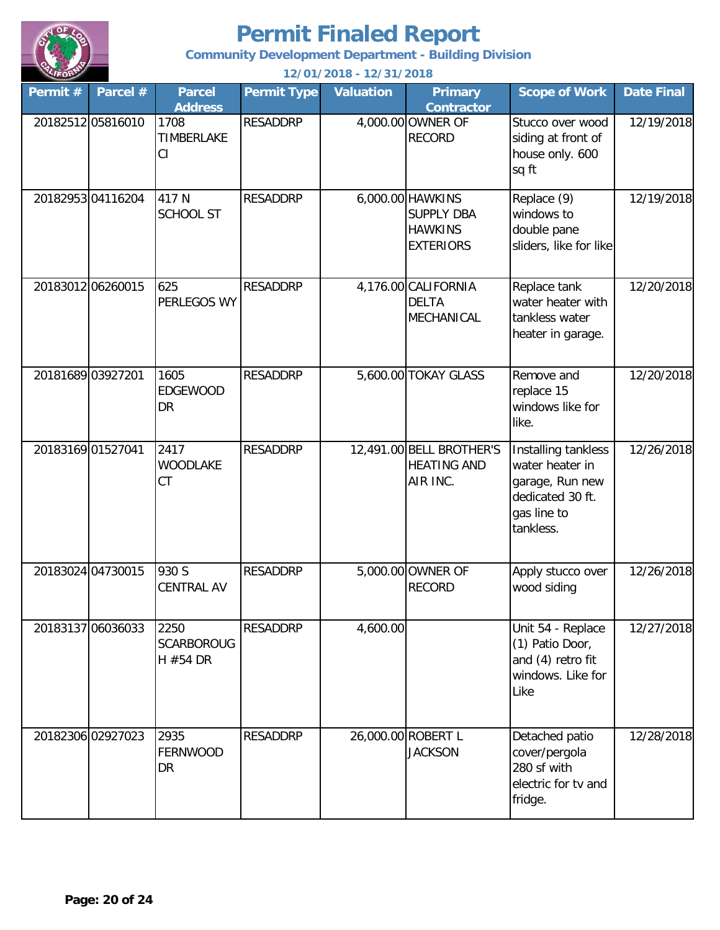

**Community Development Department - Building Division**

| Permit # | Parcel #          | <b>Parcel</b><br><b>Address</b>       | <b>Permit Type</b> | <b>Valuation</b> | <b>Primary</b><br><b>Contractor</b>                                         | <b>Scope of Work</b>                                                                                      | <b>Date Final</b> |
|----------|-------------------|---------------------------------------|--------------------|------------------|-----------------------------------------------------------------------------|-----------------------------------------------------------------------------------------------------------|-------------------|
|          | 20182512 05816010 | 1708<br>TIMBERLAKE<br>CI              | <b>RESADDRP</b>    |                  | 4,000.00 OWNER OF<br><b>RECORD</b>                                          | Stucco over wood<br>siding at front of<br>house only. 600<br>sq ft                                        | 12/19/2018        |
|          | 2018295304116204  | 417 N<br><b>SCHOOL ST</b>             | <b>RESADDRP</b>    |                  | 6,000.00 HAWKINS<br><b>SUPPLY DBA</b><br><b>HAWKINS</b><br><b>EXTERIORS</b> | Replace (9)<br>windows to<br>double pane<br>sliders, like for like                                        | 12/19/2018        |
|          | 20183012 06260015 | 625<br>PERLEGOS WY                    | <b>RESADDRP</b>    |                  | 4,176.00 CALIFORNIA<br><b>DELTA</b><br>MECHANICAL                           | Replace tank<br>water heater with<br>tankless water<br>heater in garage.                                  | 12/20/2018        |
|          | 20181689 03927201 | 1605<br><b>EDGEWOOD</b><br><b>DR</b>  | <b>RESADDRP</b>    |                  | 5,600.00 TOKAY GLASS                                                        | Remove and<br>replace 15<br>windows like for<br>like.                                                     | 12/20/2018        |
|          | 20183169 01527041 | 2417<br><b>WOODLAKE</b><br>CT         | <b>RESADDRP</b>    |                  | 12,491.00 BELL BROTHER'S<br><b>HEATING AND</b><br>AIR INC.                  | Installing tankless<br>water heater in<br>garage, Run new<br>dedicated 30 ft.<br>gas line to<br>tankless. | 12/26/2018        |
|          | 20183024 04730015 | 930 S<br><b>CENTRAL AV</b>            | <b>RESADDRP</b>    |                  | 5,000.00 OWNER OF<br><b>RECORD</b>                                          | Apply stucco over<br>wood siding                                                                          | 12/26/2018        |
|          | 20183137 06036033 | 2250<br><b>SCARBOROUG</b><br>H #54 DR | <b>RESADDRP</b>    | 4,600.00         |                                                                             | Unit 54 - Replace<br>(1) Patio Door,<br>and (4) retro fit<br>windows. Like for<br>Like                    | 12/27/2018        |
|          | 20182306 02927023 | 2935<br><b>FERNWOOD</b><br><b>DR</b>  | <b>RESADDRP</b>    |                  | 26,000.00 ROBERT L<br><b>JACKSON</b>                                        | Detached patio<br>cover/pergola<br>280 sf with<br>electric for tv and<br>fridge.                          | 12/28/2018        |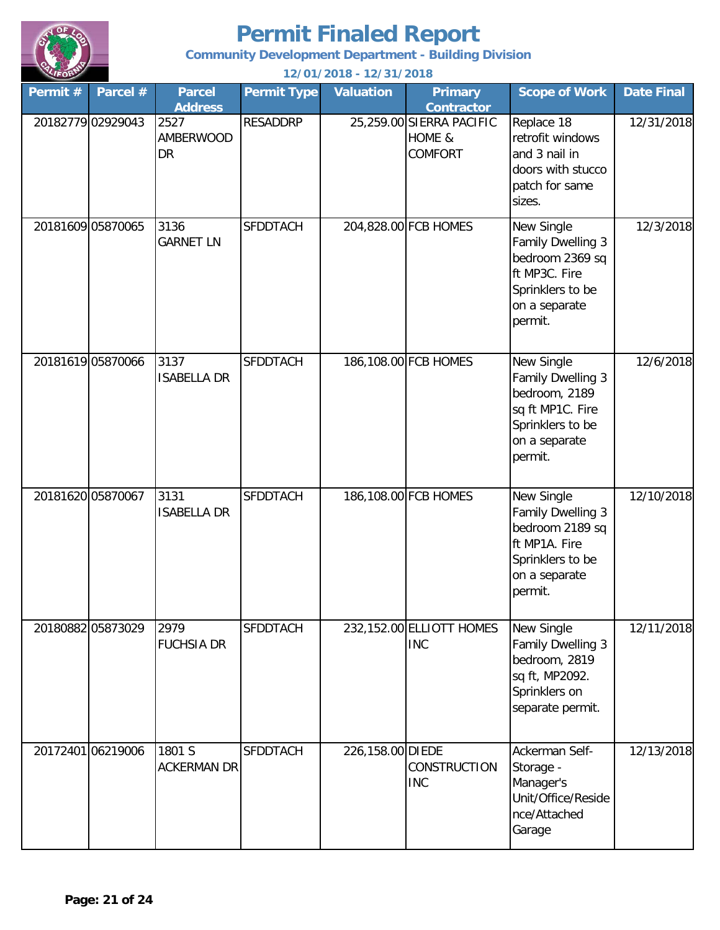

**Community Development Department - Building Division**

| Permit #          | Parcel #          | <b>Parcel</b><br><b>Address</b>       | <b>Permit Type</b> | <b>Valuation</b> | <b>Primary</b><br><b>Contractor</b>                  | <b>Scope of Work</b>                                                                                                 | <b>Date Final</b> |
|-------------------|-------------------|---------------------------------------|--------------------|------------------|------------------------------------------------------|----------------------------------------------------------------------------------------------------------------------|-------------------|
|                   | 20182779 02929043 | 2527<br><b>AMBERWOOD</b><br><b>DR</b> | <b>RESADDRP</b>    |                  | 25,259.00 SIERRA PACIFIC<br>HOME &<br><b>COMFORT</b> | Replace 18<br>retrofit windows<br>and 3 nail in<br>doors with stucco<br>patch for same<br>sizes.                     | 12/31/2018        |
|                   | 20181609 05870065 | 3136<br><b>GARNET LN</b>              | <b>SFDDTACH</b>    |                  | 204,828.00 FCB HOMES                                 | New Single<br>Family Dwelling 3<br>bedroom 2369 sq<br>ft MP3C. Fire<br>Sprinklers to be<br>on a separate<br>permit.  | 12/3/2018         |
|                   | 20181619 05870066 | 3137<br><b>ISABELLA DR</b>            | <b>SFDDTACH</b>    |                  | 186,108.00 FCB HOMES                                 | New Single<br>Family Dwelling 3<br>bedroom, 2189<br>sq ft MP1C. Fire<br>Sprinklers to be<br>on a separate<br>permit. | 12/6/2018         |
| 20181620 05870067 |                   | 3131<br><b>ISABELLA DR</b>            | <b>SFDDTACH</b>    |                  | 186,108.00 FCB HOMES                                 | New Single<br>Family Dwelling 3<br>bedroom 2189 sq<br>ft MP1A. Fire<br>Sprinklers to be<br>on a separate<br>permit.  | 12/10/2018        |
|                   | 20180882 05873029 | 2979<br><b>FUCHSIA DR</b>             | <b>SFDDTACH</b>    |                  | 232,152.00 ELLIOTT HOMES<br><b>INC</b>               | New Single<br>Family Dwelling 3<br>bedroom, 2819<br>sq ft, MP2092.<br>Sprinklers on<br>separate permit.              | 12/11/2018        |
|                   | 20172401 06219006 | 1801 S<br><b>ACKERMAN DR</b>          | <b>SFDDTACH</b>    | 226,158.00 DIEDE | CONSTRUCTION<br><b>INC</b>                           | Ackerman Self-<br>Storage -<br>Manager's<br>Unit/Office/Reside<br>nce/Attached<br>Garage                             | 12/13/2018        |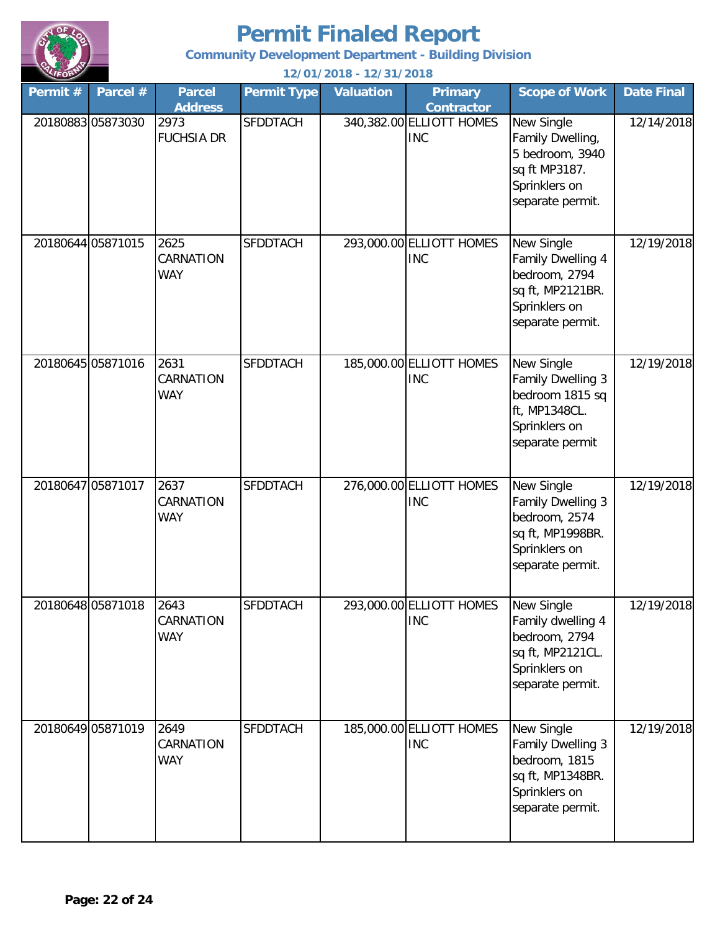

**Community Development Department - Building Division**

| Permit #          | Parcel #          | <b>Parcel</b><br><b>Address</b> | <b>Permit Type</b> | <b>Valuation</b> | <b>Primary</b><br><b>Contractor</b>    | <b>Scope of Work</b>                                                                                      | <b>Date Final</b> |
|-------------------|-------------------|---------------------------------|--------------------|------------------|----------------------------------------|-----------------------------------------------------------------------------------------------------------|-------------------|
| 20180883 05873030 |                   | 2973<br><b>FUCHSIA DR</b>       | <b>SFDDTACH</b>    |                  | 340,382.00 ELLIOTT HOMES<br><b>INC</b> | New Single<br>Family Dwelling,<br>5 bedroom, 3940<br>sq ft MP3187.<br>Sprinklers on<br>separate permit.   | 12/14/2018        |
| 20180644 05871015 |                   | 2625<br>CARNATION<br>WAY        | <b>SFDDTACH</b>    |                  | 293,000.00 ELLIOTT HOMES<br><b>INC</b> | New Single<br>Family Dwelling 4<br>bedroom, 2794<br>sq ft, MP2121BR.<br>Sprinklers on<br>separate permit. | 12/19/2018        |
| 20180645 05871016 |                   | 2631<br>CARNATION<br><b>WAY</b> | <b>SFDDTACH</b>    |                  | 185,000.00 ELLIOTT HOMES<br><b>INC</b> | New Single<br>Family Dwelling 3<br>bedroom 1815 sq<br>ft, MP1348CL.<br>Sprinklers on<br>separate permit   | 12/19/2018        |
| 20180647 05871017 |                   | 2637<br>CARNATION<br><b>WAY</b> | <b>SFDDTACH</b>    |                  | 276,000.00 ELLIOTT HOMES<br><b>INC</b> | New Single<br>Family Dwelling 3<br>bedroom, 2574<br>sq ft, MP1998BR.<br>Sprinklers on<br>separate permit. | 12/19/2018        |
|                   | 20180648 05871018 | 2643<br>CARNATION<br><b>WAY</b> | SFDDTACH           |                  | 293,000.00 ELLIOTT HOMES<br><b>INC</b> | New Single<br>Family dwelling 4<br>bedroom, 2794<br>sq ft, MP2121CL.<br>Sprinklers on<br>separate permit. | 12/19/2018        |
| 20180649 05871019 |                   | 2649<br>CARNATION<br>WAY        | <b>SFDDTACH</b>    |                  | 185,000.00 ELLIOTT HOMES<br><b>INC</b> | New Single<br>Family Dwelling 3<br>bedroom, 1815<br>sq ft, MP1348BR.<br>Sprinklers on<br>separate permit. | 12/19/2018        |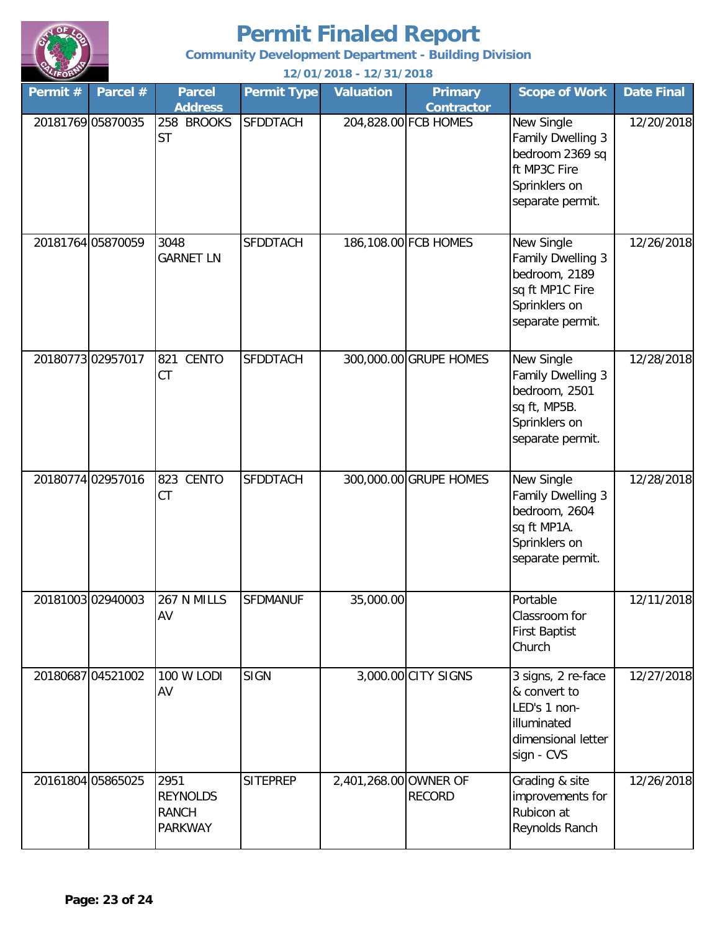

**Community Development Department - Building Division**

| Permit # | Parcel #          | <b>Parcel</b><br><b>Address</b>                           | <b>Permit Type</b> | <b>Valuation</b>      | <b>Primary</b><br><b>Contractor</b> | <b>Scope of Work</b>                                                                                     | <b>Date Final</b> |
|----------|-------------------|-----------------------------------------------------------|--------------------|-----------------------|-------------------------------------|----------------------------------------------------------------------------------------------------------|-------------------|
|          | 20181769 05870035 | 258 BROOKS<br><b>ST</b>                                   | <b>SFDDTACH</b>    |                       | 204,828.00 FCB HOMES                | New Single<br>Family Dwelling 3<br>bedroom 2369 sq<br>ft MP3C Fire<br>Sprinklers on<br>separate permit.  | 12/20/2018        |
|          | 20181764 05870059 | 3048<br><b>GARNET LN</b>                                  | <b>SFDDTACH</b>    |                       | 186,108.00 FCB HOMES                | New Single<br>Family Dwelling 3<br>bedroom, 2189<br>sq ft MP1C Fire<br>Sprinklers on<br>separate permit. | 12/26/2018        |
|          | 2018077302957017  | <b>CENTO</b><br>821<br>CT                                 | <b>SFDDTACH</b>    |                       | 300,000.00 GRUPE HOMES              | New Single<br>Family Dwelling 3<br>bedroom, 2501<br>sq ft, MP5B.<br>Sprinklers on<br>separate permit.    | 12/28/2018        |
|          | 20180774 02957016 | 823 CENTO<br>CT                                           | <b>SFDDTACH</b>    |                       | 300,000.00 GRUPE HOMES              | New Single<br>Family Dwelling 3<br>bedroom, 2604<br>sq ft MP1A.<br>Sprinklers on<br>separate permit.     | 12/28/2018        |
|          | 20181003 02940003 | 267 N MILLS<br>AV                                         | <b>SFDMANUF</b>    | 35,000.00             |                                     | Portable<br>Classroom for<br><b>First Baptist</b><br>Church                                              | 12/11/2018        |
|          | 20180687 04521002 | 100 W LODI<br>AV                                          | <b>SIGN</b>        |                       | 3,000.00 CITY SIGNS                 | 3 signs, 2 re-face<br>& convert to<br>LED's 1 non-<br>illuminated<br>dimensional letter<br>sign - CVS    | 12/27/2018        |
|          | 20161804 05865025 | 2951<br><b>REYNOLDS</b><br><b>RANCH</b><br><b>PARKWAY</b> | <b>SITEPREP</b>    | 2,401,268.00 OWNER OF | <b>RECORD</b>                       | Grading & site<br>improvements for<br>Rubicon at<br>Reynolds Ranch                                       | 12/26/2018        |